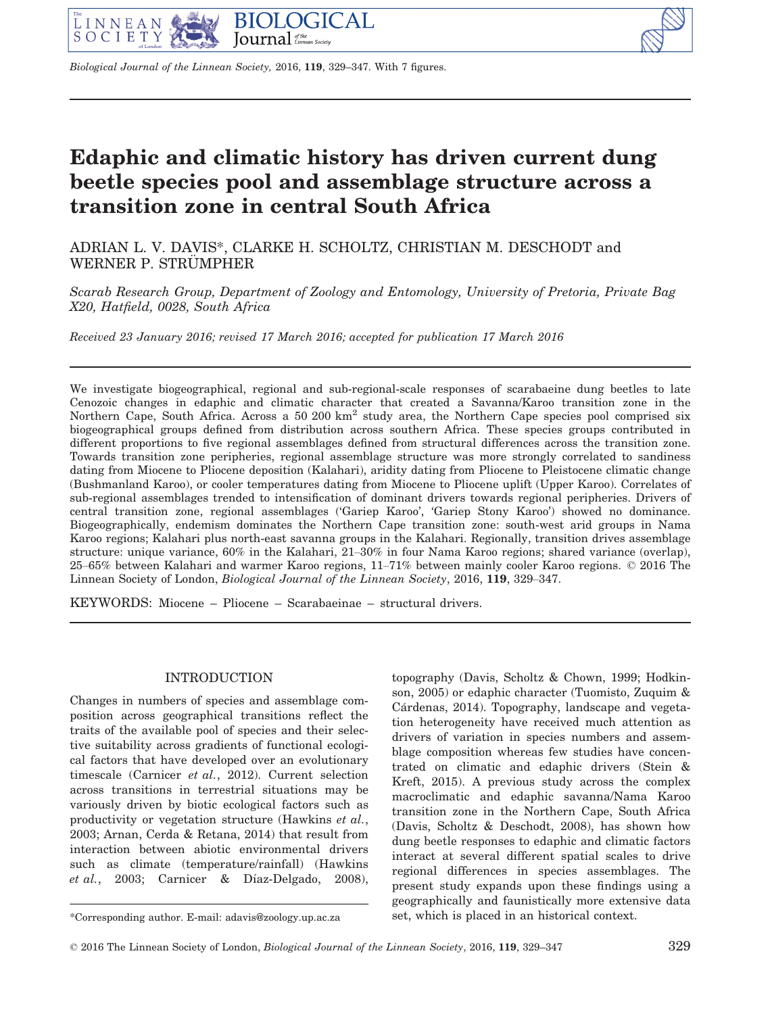

Biological Journal of the Linnean Society, 2016, 119, 329–347. With 7 figures.

# Edaphic and climatic history has driven current dung beetle species pool and assemblage structure across a transition zone in central South Africa

ADRIAN L. V. DAVIS\*, CLARKE H. SCHOLTZ, CHRISTIAN M. DESCHODT and WERNER P. STRÜMPHER

Scarab Research Group, Department of Zoology and Entomology, University of Pretoria, Private Bag X20, Hatfield, 0028, South Africa

Received 23 January 2016; revised 17 March 2016; accepted for publication 17 March 2016

We investigate biogeographical, regional and sub-regional-scale responses of scarabaeine dung beetles to late Cenozoic changes in edaphic and climatic character that created a Savanna/Karoo transition zone in the Northern Cape, South Africa. Across a 50 200  $km^2$  study area, the Northern Cape species pool comprised six biogeographical groups defined from distribution across southern Africa. These species groups contributed in different proportions to five regional assemblages defined from structural differences across the transition zone. Towards transition zone peripheries, regional assemblage structure was more strongly correlated to sandiness dating from Miocene to Pliocene deposition (Kalahari), aridity dating from Pliocene to Pleistocene climatic change (Bushmanland Karoo), or cooler temperatures dating from Miocene to Pliocene uplift (Upper Karoo). Correlates of sub-regional assemblages trended to intensification of dominant drivers towards regional peripheries. Drivers of central transition zone, regional assemblages ('Gariep Karoo', 'Gariep Stony Karoo') showed no dominance. Biogeographically, endemism dominates the Northern Cape transition zone: south-west arid groups in Nama Karoo regions; Kalahari plus north-east savanna groups in the Kalahari. Regionally, transition drives assemblage structure: unique variance, 60% in the Kalahari, 21–30% in four Nama Karoo regions; shared variance (overlap), 25–65% between Kalahari and warmer Karoo regions, 11–71% between mainly cooler Karoo regions. © 2016 The Linnean Society of London, Biological Journal of the Linnean Society, 2016, 119, 329–347.

KEYWORDS: Miocene – Pliocene – Scarabaeinae – structural drivers.

# INTRODUCTION

Changes in numbers of species and assemblage composition across geographical transitions reflect the traits of the available pool of species and their selective suitability across gradients of functional ecological factors that have developed over an evolutionary timescale (Carnicer et al., 2012). Current selection across transitions in terrestrial situations may be variously driven by biotic ecological factors such as productivity or vegetation structure (Hawkins et al., 2003; Arnan, Cerda & Retana, 2014) that result from interaction between abiotic environmental drivers such as climate (temperature/rainfall) (Hawkins et al., 2003; Carnicer & Díaz-Delgado, 2008),

topography (Davis, Scholtz & Chown, 1999; Hodkinson, 2005) or edaphic character (Tuomisto, Zuquim & Cárdenas, 2014). Topography, landscape and vegetation heterogeneity have received much attention as drivers of variation in species numbers and assemblage composition whereas few studies have concentrated on climatic and edaphic drivers (Stein & Kreft, 2015). A previous study across the complex macroclimatic and edaphic savanna/Nama Karoo transition zone in the Northern Cape, South Africa (Davis, Scholtz & Deschodt, 2008), has shown how dung beetle responses to edaphic and climatic factors interact at several different spatial scales to drive regional differences in species assemblages. The present study expands upon these findings using a geographically and faunistically more extensive data \*Corresponding author. E-mail: [adavis@zoology.up.ac.za](mailto:adavis@zoology.up.ac.za) set, which is placed in an historical context.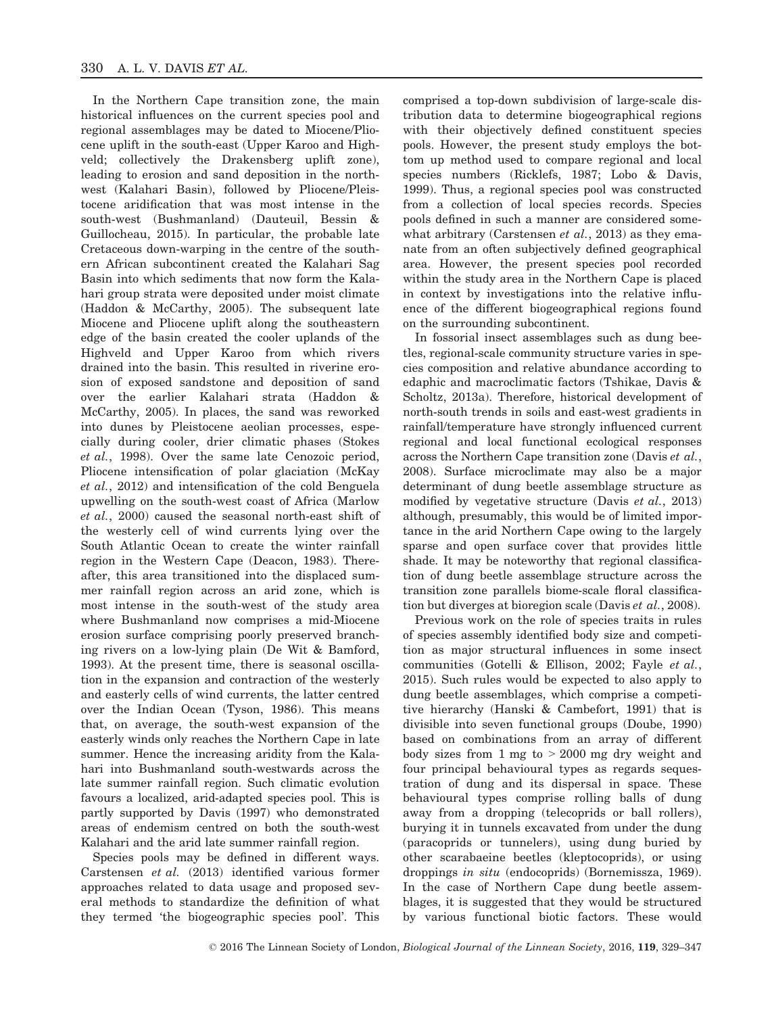In the Northern Cape transition zone, the main historical influences on the current species pool and regional assemblages may be dated to Miocene/Pliocene uplift in the south-east (Upper Karoo and Highveld; collectively the Drakensberg uplift zone), leading to erosion and sand deposition in the northwest (Kalahari Basin), followed by Pliocene/Pleistocene aridification that was most intense in the south-west (Bushmanland) (Dauteuil, Bessin & Guillocheau, 2015). In particular, the probable late Cretaceous down-warping in the centre of the southern African subcontinent created the Kalahari Sag Basin into which sediments that now form the Kalahari group strata were deposited under moist climate (Haddon & McCarthy, 2005). The subsequent late Miocene and Pliocene uplift along the southeastern edge of the basin created the cooler uplands of the Highveld and Upper Karoo from which rivers drained into the basin. This resulted in riverine erosion of exposed sandstone and deposition of sand over the earlier Kalahari strata (Haddon & McCarthy, 2005). In places, the sand was reworked into dunes by Pleistocene aeolian processes, especially during cooler, drier climatic phases (Stokes et al., 1998). Over the same late Cenozoic period, Pliocene intensification of polar glaciation (McKay et al., 2012) and intensification of the cold Benguela upwelling on the south-west coast of Africa (Marlow et al., 2000) caused the seasonal north-east shift of the westerly cell of wind currents lying over the South Atlantic Ocean to create the winter rainfall region in the Western Cape (Deacon, 1983). Thereafter, this area transitioned into the displaced summer rainfall region across an arid zone, which is most intense in the south-west of the study area where Bushmanland now comprises a mid-Miocene erosion surface comprising poorly preserved branching rivers on a low-lying plain (De Wit & Bamford, 1993). At the present time, there is seasonal oscillation in the expansion and contraction of the westerly and easterly cells of wind currents, the latter centred over the Indian Ocean (Tyson, 1986). This means that, on average, the south-west expansion of the easterly winds only reaches the Northern Cape in late summer. Hence the increasing aridity from the Kalahari into Bushmanland south-westwards across the late summer rainfall region. Such climatic evolution favours a localized, arid-adapted species pool. This is partly supported by Davis (1997) who demonstrated areas of endemism centred on both the south-west Kalahari and the arid late summer rainfall region.

Species pools may be defined in different ways. Carstensen et al. (2013) identified various former approaches related to data usage and proposed several methods to standardize the definition of what they termed 'the biogeographic species pool'. This

comprised a top-down subdivision of large-scale distribution data to determine biogeographical regions with their objectively defined constituent species pools. However, the present study employs the bottom up method used to compare regional and local species numbers (Ricklefs, 1987; Lobo & Davis, 1999). Thus, a regional species pool was constructed from a collection of local species records. Species pools defined in such a manner are considered somewhat arbitrary (Carstensen et al., 2013) as they emanate from an often subjectively defined geographical area. However, the present species pool recorded within the study area in the Northern Cape is placed in context by investigations into the relative influence of the different biogeographical regions found on the surrounding subcontinent.

In fossorial insect assemblages such as dung beetles, regional-scale community structure varies in species composition and relative abundance according to edaphic and macroclimatic factors (Tshikae, Davis & Scholtz, 2013a). Therefore, historical development of north-south trends in soils and east-west gradients in rainfall/temperature have strongly influenced current regional and local functional ecological responses across the Northern Cape transition zone (Davis et al., 2008). Surface microclimate may also be a major determinant of dung beetle assemblage structure as modified by vegetative structure (Davis et al., 2013) although, presumably, this would be of limited importance in the arid Northern Cape owing to the largely sparse and open surface cover that provides little shade. It may be noteworthy that regional classification of dung beetle assemblage structure across the transition zone parallels biome-scale floral classification but diverges at bioregion scale (Davis et al., 2008).

Previous work on the role of species traits in rules of species assembly identified body size and competition as major structural influences in some insect communities (Gotelli & Ellison, 2002; Fayle et al., 2015). Such rules would be expected to also apply to dung beetle assemblages, which comprise a competitive hierarchy (Hanski & Cambefort, 1991) that is divisible into seven functional groups (Doube, 1990) based on combinations from an array of different body sizes from  $1 \text{ mg}$  to  $> 2000 \text{ mg}$  dry weight and four principal behavioural types as regards sequestration of dung and its dispersal in space. These behavioural types comprise rolling balls of dung away from a dropping (telecoprids or ball rollers), burying it in tunnels excavated from under the dung (paracoprids or tunnelers), using dung buried by other scarabaeine beetles (kleptocoprids), or using droppings in situ (endocoprids) (Bornemissza, 1969). In the case of Northern Cape dung beetle assemblages, it is suggested that they would be structured by various functional biotic factors. These would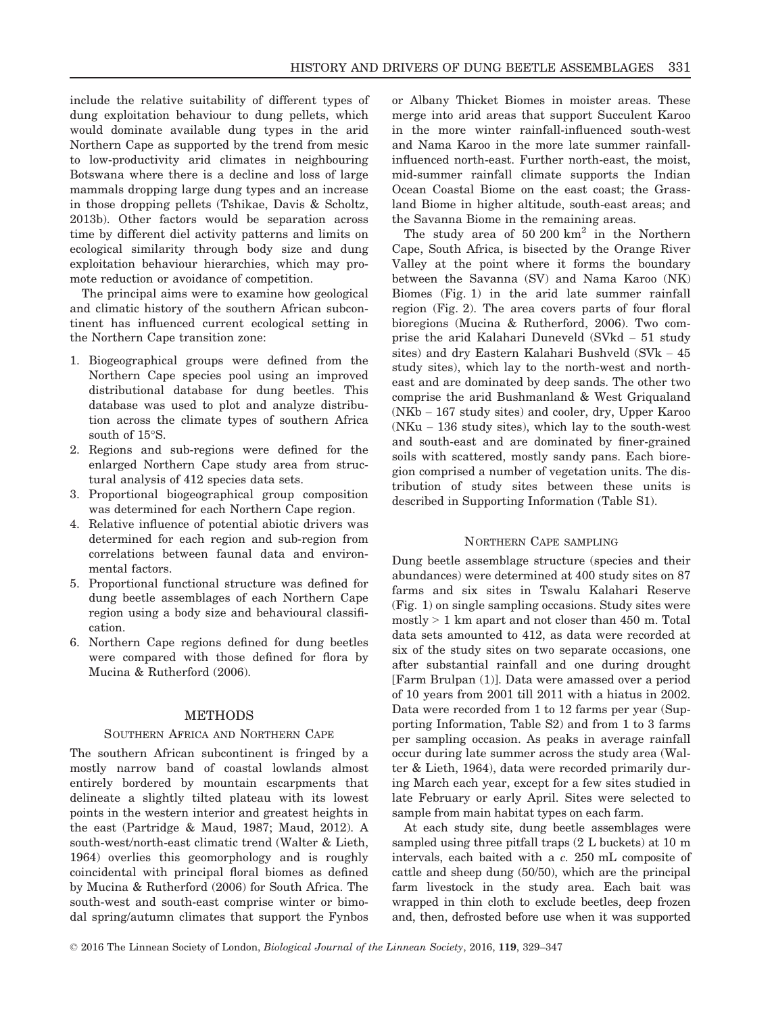include the relative suitability of different types of dung exploitation behaviour to dung pellets, which would dominate available dung types in the arid Northern Cape as supported by the trend from mesic to low-productivity arid climates in neighbouring Botswana where there is a decline and loss of large mammals dropping large dung types and an increase in those dropping pellets (Tshikae, Davis & Scholtz, 2013b). Other factors would be separation across time by different diel activity patterns and limits on ecological similarity through body size and dung exploitation behaviour hierarchies, which may promote reduction or avoidance of competition.

The principal aims were to examine how geological and climatic history of the southern African subcontinent has influenced current ecological setting in the Northern Cape transition zone:

- 1. Biogeographical groups were defined from the Northern Cape species pool using an improved distributional database for dung beetles. This database was used to plot and analyze distribution across the climate types of southern Africa south of 15°S.
- 2. Regions and sub-regions were defined for the enlarged Northern Cape study area from structural analysis of 412 species data sets.
- 3. Proportional biogeographical group composition was determined for each Northern Cape region.
- 4. Relative influence of potential abiotic drivers was determined for each region and sub-region from correlations between faunal data and environmental factors.
- 5. Proportional functional structure was defined for dung beetle assemblages of each Northern Cape region using a body size and behavioural classification.
- 6. Northern Cape regions defined for dung beetles were compared with those defined for flora by Mucina & Rutherford (2006).

# **METHODS**

## SOUTHERN AFRICA AND NORTHERN CAPE

The southern African subcontinent is fringed by a mostly narrow band of coastal lowlands almost entirely bordered by mountain escarpments that delineate a slightly tilted plateau with its lowest points in the western interior and greatest heights in the east (Partridge & Maud, 1987; Maud, 2012). A south-west/north-east climatic trend (Walter & Lieth, 1964) overlies this geomorphology and is roughly coincidental with principal floral biomes as defined by Mucina & Rutherford (2006) for South Africa. The south-west and south-east comprise winter or bimodal spring/autumn climates that support the Fynbos or Albany Thicket Biomes in moister areas. These merge into arid areas that support Succulent Karoo in the more winter rainfall-influenced south-west and Nama Karoo in the more late summer rainfallinfluenced north-east. Further north-east, the moist, mid-summer rainfall climate supports the Indian Ocean Coastal Biome on the east coast; the Grassland Biome in higher altitude, south-east areas; and the Savanna Biome in the remaining areas.

The study area of 50 200  $km^2$  in the Northern Cape, South Africa, is bisected by the Orange River Valley at the point where it forms the boundary between the Savanna (SV) and Nama Karoo (NK) Biomes (Fig. 1) in the arid late summer rainfall region (Fig. 2). The area covers parts of four floral bioregions (Mucina & Rutherford, 2006). Two comprise the arid Kalahari Duneveld (SVkd – 51 study sites) and dry Eastern Kalahari Bushveld (SVk – 45 study sites), which lay to the north-west and northeast and are dominated by deep sands. The other two comprise the arid Bushmanland & West Griqualand (NKb – 167 study sites) and cooler, dry, Upper Karoo (NKu – 136 study sites), which lay to the south-west and south-east and are dominated by finer-grained soils with scattered, mostly sandy pans. Each bioregion comprised a number of vegetation units. The distribution of study sites between these units is described in Supporting Information (Table S1).

## NORTHERN CAPE SAMPLING

Dung beetle assemblage structure (species and their abundances) were determined at 400 study sites on 87 farms and six sites in Tswalu Kalahari Reserve (Fig. 1) on single sampling occasions. Study sites were mostly > 1 km apart and not closer than 450 m. Total data sets amounted to 412, as data were recorded at six of the study sites on two separate occasions, one after substantial rainfall and one during drought [Farm Brulpan (1)]. Data were amassed over a period of 10 years from 2001 till 2011 with a hiatus in 2002. Data were recorded from 1 to 12 farms per year (Supporting Information, Table S2) and from 1 to 3 farms per sampling occasion. As peaks in average rainfall occur during late summer across the study area (Walter & Lieth, 1964), data were recorded primarily during March each year, except for a few sites studied in late February or early April. Sites were selected to sample from main habitat types on each farm.

At each study site, dung beetle assemblages were sampled using three pitfall traps (2 L buckets) at 10 m intervals, each baited with a c. 250 mL composite of cattle and sheep dung (50/50), which are the principal farm livestock in the study area. Each bait was wrapped in thin cloth to exclude beetles, deep frozen and, then, defrosted before use when it was supported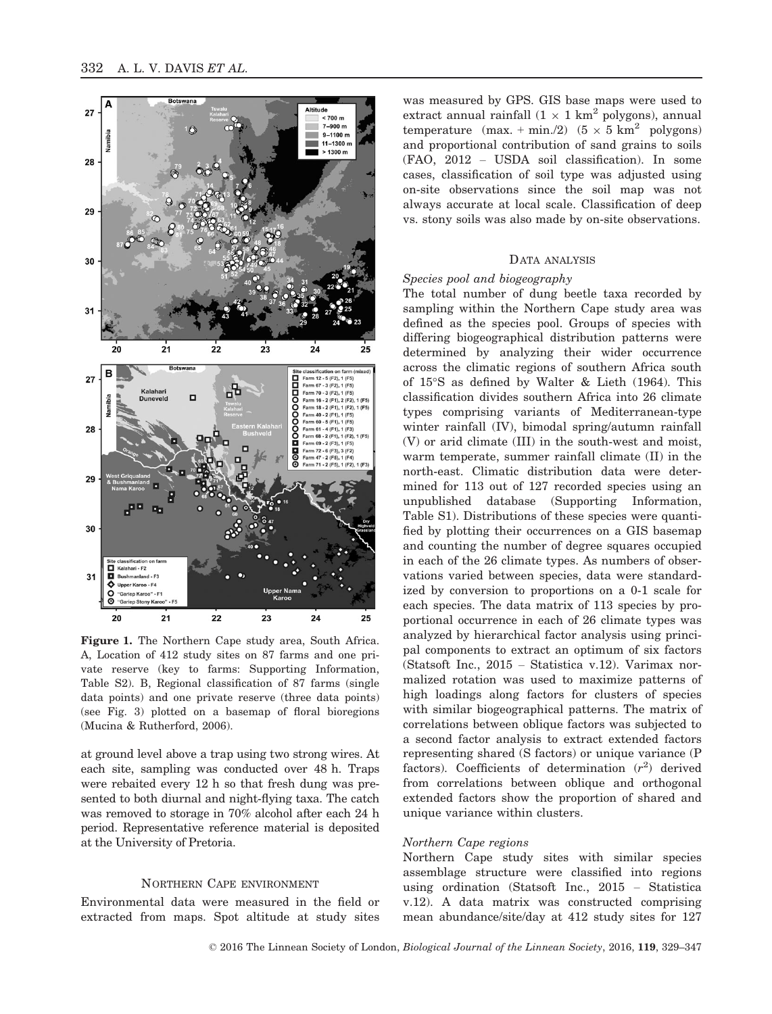

Figure 1. The Northern Cape study area, South Africa. A, Location of 412 study sites on 87 farms and one private reserve (key to farms: Supporting Information, Table S2). B, Regional classification of 87 farms (single data points) and one private reserve (three data points) (see Fig. 3) plotted on a basemap of floral bioregions (Mucina & Rutherford, 2006).

at ground level above a trap using two strong wires. At each site, sampling was conducted over 48 h. Traps were rebaited every 12 h so that fresh dung was presented to both diurnal and night-flying taxa. The catch was removed to storage in 70% alcohol after each 24 h period. Representative reference material is deposited at the University of Pretoria.

# NORTHERN CAPE ENVIRONMENT

Environmental data were measured in the field or extracted from maps. Spot altitude at study sites

was measured by GPS. GIS base maps were used to extract annual rainfall  $(1 \times 1 \text{ km}^2 \text{ polygons})$ , annual temperature  $(max. + min./2)$   $(5 \times 5 km^2$  polygons) and proportional contribution of sand grains to soils (FAO, 2012 – USDA soil classification). In some cases, classification of soil type was adjusted using on-site observations since the soil map was not always accurate at local scale. Classification of deep vs. stony soils was also made by on-site observations.

# DATA ANALYSIS

## Species pool and biogeography

The total number of dung beetle taxa recorded by sampling within the Northern Cape study area was defined as the species pool. Groups of species with differing biogeographical distribution patterns were determined by analyzing their wider occurrence across the climatic regions of southern Africa south of 15°S as defined by Walter & Lieth (1964). This classification divides southern Africa into 26 climate types comprising variants of Mediterranean-type winter rainfall (IV), bimodal spring/autumn rainfall (V) or arid climate (III) in the south-west and moist, warm temperate, summer rainfall climate (II) in the north-east. Climatic distribution data were determined for 113 out of 127 recorded species using an unpublished database (Supporting Information, Table S1). Distributions of these species were quantified by plotting their occurrences on a GIS basemap and counting the number of degree squares occupied in each of the 26 climate types. As numbers of observations varied between species, data were standardized by conversion to proportions on a 0-1 scale for each species. The data matrix of 113 species by proportional occurrence in each of 26 climate types was analyzed by hierarchical factor analysis using principal components to extract an optimum of six factors (Statsoft Inc., 2015 – Statistica v.12). Varimax normalized rotation was used to maximize patterns of high loadings along factors for clusters of species with similar biogeographical patterns. The matrix of correlations between oblique factors was subjected to a second factor analysis to extract extended factors representing shared (S factors) or unique variance (P factors). Coefficients of determination  $(r^2)$  derived from correlations between oblique and orthogonal extended factors show the proportion of shared and unique variance within clusters.

## Northern Cape regions

Northern Cape study sites with similar species assemblage structure were classified into regions using ordination (Statsoft Inc., 2015 – Statistica v.12). A data matrix was constructed comprising mean abundance/site/day at 412 study sites for 127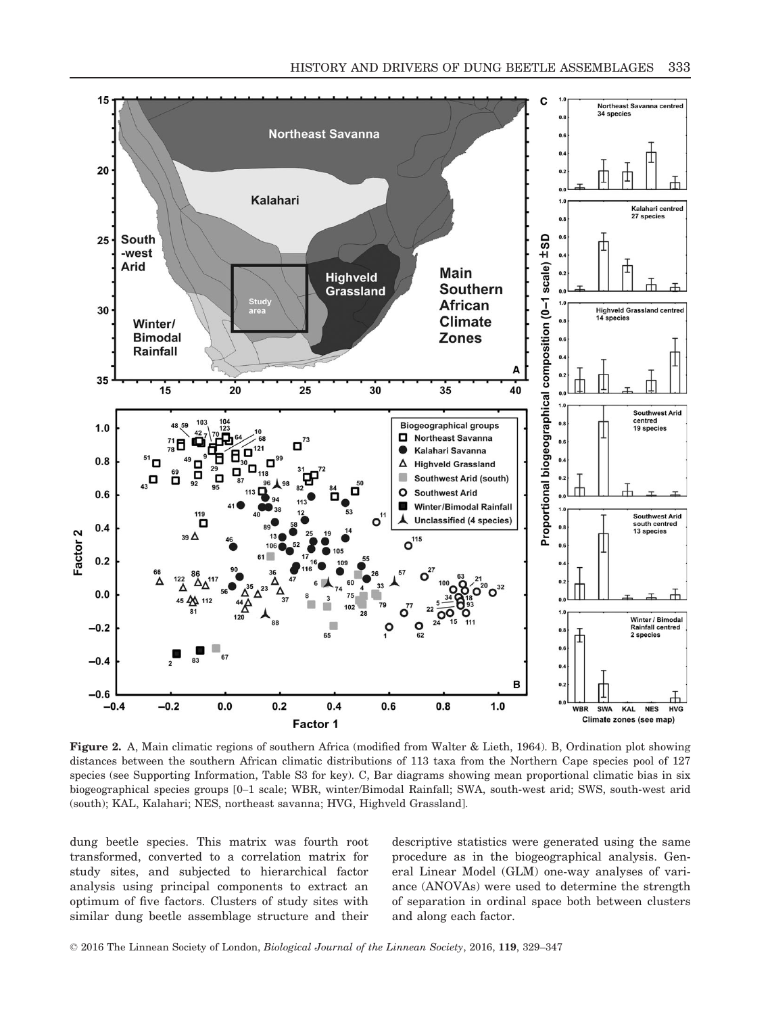

Figure 2. A, Main climatic regions of southern Africa (modified from Walter & Lieth, 1964). B, Ordination plot showing distances between the southern African climatic distributions of 113 taxa from the Northern Cape species pool of 127 species (see Supporting Information, Table S3 for key). C, Bar diagrams showing mean proportional climatic bias in six biogeographical species groups [0–1 scale; WBR, winter/Bimodal Rainfall; SWA, south-west arid; SWS, south-west arid (south); KAL, Kalahari; NES, northeast savanna; HVG, Highveld Grassland].

dung beetle species. This matrix was fourth root transformed, converted to a correlation matrix for study sites, and subjected to hierarchical factor analysis using principal components to extract an optimum of five factors. Clusters of study sites with similar dung beetle assemblage structure and their descriptive statistics were generated using the same procedure as in the biogeographical analysis. General Linear Model (GLM) one-way analyses of variance (ANOVAs) were used to determine the strength of separation in ordinal space both between clusters and along each factor.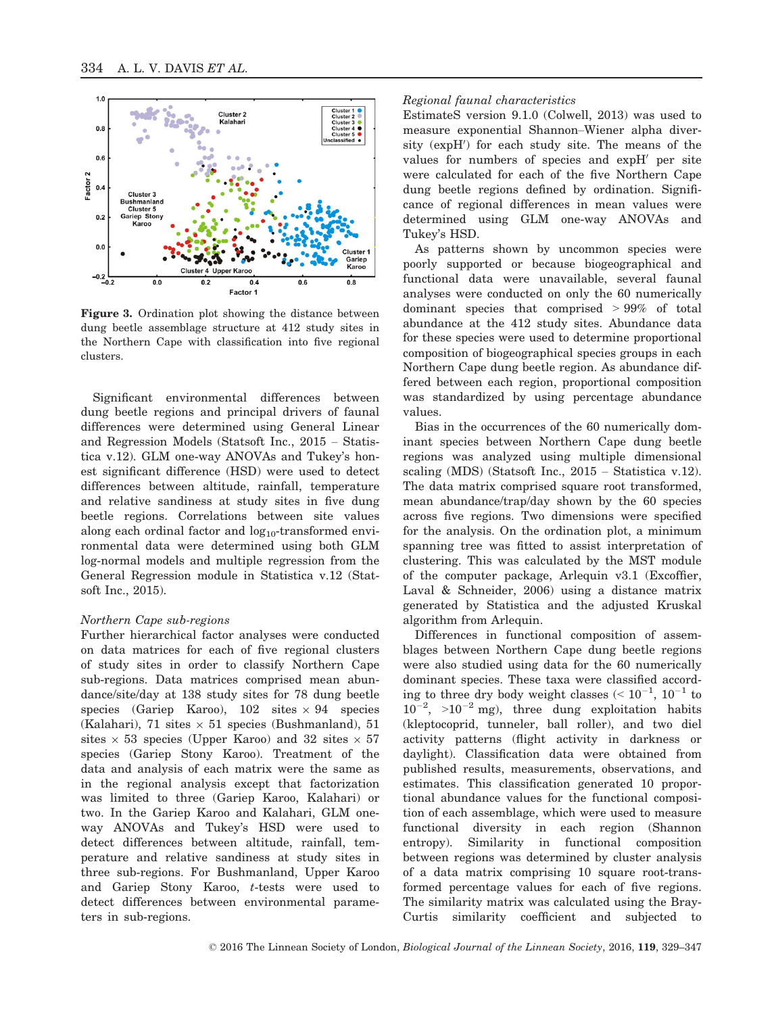

Figure 3. Ordination plot showing the distance between dung beetle assemblage structure at 412 study sites in the Northern Cape with classification into five regional clusters.

Significant environmental differences between dung beetle regions and principal drivers of faunal differences were determined using General Linear and Regression Models (Statsoft Inc., 2015 – Statistica v.12). GLM one-way ANOVAs and Tukey's honest significant difference (HSD) were used to detect differences between altitude, rainfall, temperature and relative sandiness at study sites in five dung beetle regions. Correlations between site values along each ordinal factor and  $log_{10}$ -transformed environmental data were determined using both GLM log-normal models and multiple regression from the General Regression module in Statistica v.12 (Statsoft Inc., 2015).

#### Northern Cape sub-regions

Further hierarchical factor analyses were conducted on data matrices for each of five regional clusters of study sites in order to classify Northern Cape sub-regions. Data matrices comprised mean abundance/site/day at 138 study sites for 78 dung beetle species (Gariep Karoo),  $102$  sites  $\times$  94 species (Kalahari), 71 sites  $\times$  51 species (Bushmanland), 51 sites  $\times$  53 species (Upper Karoo) and 32 sites  $\times$  57 species (Gariep Stony Karoo). Treatment of the data and analysis of each matrix were the same as in the regional analysis except that factorization was limited to three (Gariep Karoo, Kalahari) or two. In the Gariep Karoo and Kalahari, GLM oneway ANOVAs and Tukey's HSD were used to detect differences between altitude, rainfall, temperature and relative sandiness at study sites in three sub-regions. For Bushmanland, Upper Karoo and Gariep Stony Karoo, t-tests were used to detect differences between environmental parameters in sub-regions.

#### Regional faunal characteristics

EstimateS version 9.1.0 (Colwell, 2013) was used to measure exponential Shannon–Wiener alpha diver $sity$  ( $expH'$ ) for each study site. The means of the values for numbers of species and  $expH'$  per site were calculated for each of the five Northern Cape dung beetle regions defined by ordination. Significance of regional differences in mean values were determined using GLM one-way ANOVAs and Tukey's HSD.

As patterns shown by uncommon species were poorly supported or because biogeographical and functional data were unavailable, several faunal analyses were conducted on only the 60 numerically dominant species that comprised > 99% of total abundance at the 412 study sites. Abundance data for these species were used to determine proportional composition of biogeographical species groups in each Northern Cape dung beetle region. As abundance differed between each region, proportional composition was standardized by using percentage abundance values.

Bias in the occurrences of the 60 numerically dominant species between Northern Cape dung beetle regions was analyzed using multiple dimensional scaling (MDS) (Statsoft Inc., 2015 – Statistica v.12). The data matrix comprised square root transformed, mean abundance/trap/day shown by the 60 species across five regions. Two dimensions were specified for the analysis. On the ordination plot, a minimum spanning tree was fitted to assist interpretation of clustering. This was calculated by the MST module of the computer package, Arlequin v3.1 (Excoffier, Laval & Schneider, 2006) using a distance matrix generated by Statistica and the adjusted Kruskal algorithm from Arlequin.

Differences in functional composition of assemblages between Northern Cape dung beetle regions were also studied using data for the 60 numerically dominant species. These taxa were classified according to three dry body weight classes  $( $10^{-1}$ ,  $10^{-1}$  to$  $10^{-2}$ ,  $>10^{-2}$  mg), three dung exploitation habits (kleptocoprid, tunneler, ball roller), and two diel activity patterns (flight activity in darkness or daylight). Classification data were obtained from published results, measurements, observations, and estimates. This classification generated 10 proportional abundance values for the functional composition of each assemblage, which were used to measure functional diversity in each region (Shannon entropy). Similarity in functional composition between regions was determined by cluster analysis of a data matrix comprising 10 square root-transformed percentage values for each of five regions. The similarity matrix was calculated using the Bray-Curtis similarity coefficient and subjected to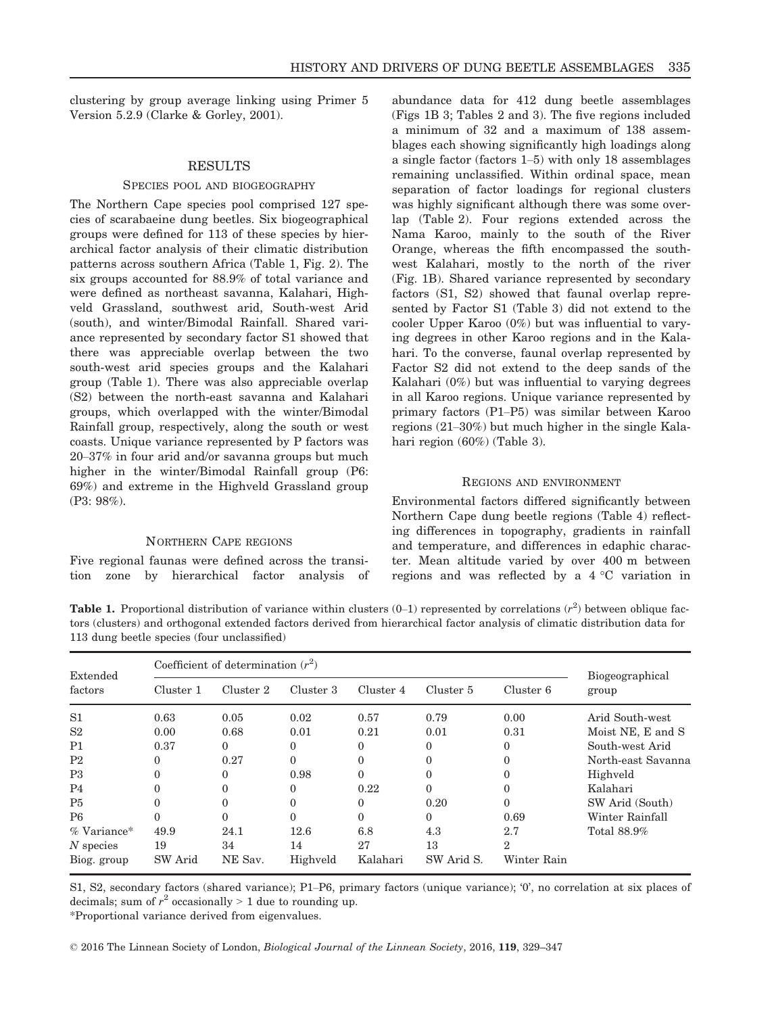clustering by group average linking using Primer 5 Version 5.2.9 (Clarke & Gorley, 2001).

## RESULTS

#### SPECIES POOL AND BIOGEOGRAPHY

The Northern Cape species pool comprised 127 species of scarabaeine dung beetles. Six biogeographical groups were defined for 113 of these species by hierarchical factor analysis of their climatic distribution patterns across southern Africa (Table 1, Fig. 2). The six groups accounted for 88.9% of total variance and were defined as northeast savanna, Kalahari, Highveld Grassland, southwest arid, South-west Arid (south), and winter/Bimodal Rainfall. Shared variance represented by secondary factor S1 showed that there was appreciable overlap between the two south-west arid species groups and the Kalahari group (Table 1). There was also appreciable overlap (S2) between the north-east savanna and Kalahari groups, which overlapped with the winter/Bimodal Rainfall group, respectively, along the south or west coasts. Unique variance represented by P factors was 20–37% in four arid and/or savanna groups but much higher in the winter/Bimodal Rainfall group (P6: 69%) and extreme in the Highveld Grassland group (P3: 98%).

## NORTHERN CAPE REGIONS

Five regional faunas were defined across the transition zone by hierarchical factor analysis of abundance data for 412 dung beetle assemblages (Figs 1B 3; Tables 2 and 3). The five regions included a minimum of 32 and a maximum of 138 assemblages each showing significantly high loadings along a single factor (factors 1–5) with only 18 assemblages remaining unclassified. Within ordinal space, mean separation of factor loadings for regional clusters was highly significant although there was some overlap (Table 2). Four regions extended across the Nama Karoo, mainly to the south of the River Orange, whereas the fifth encompassed the southwest Kalahari, mostly to the north of the river (Fig. 1B). Shared variance represented by secondary factors (S1, S2) showed that faunal overlap represented by Factor S1 (Table 3) did not extend to the cooler Upper Karoo (0%) but was influential to varying degrees in other Karoo regions and in the Kalahari. To the converse, faunal overlap represented by Factor S2 did not extend to the deep sands of the Kalahari (0%) but was influential to varying degrees in all Karoo regions. Unique variance represented by primary factors (P1–P5) was similar between Karoo regions (21–30%) but much higher in the single Kalahari region (60%) (Table 3).

#### REGIONS AND ENVIRONMENT

Environmental factors differed significantly between Northern Cape dung beetle regions (Table 4) reflecting differences in topography, gradients in rainfall and temperature, and differences in edaphic character. Mean altitude varied by over 400 m between regions and was reflected by a 4 °C variation in

**Table 1.** Proportional distribution of variance within clusters  $(0-1)$  represented by correlations  $(r^2)$  between oblique factors (clusters) and orthogonal extended factors derived from hierarchical factor analysis of climatic distribution data for 113 dung beetle species (four unclassified)

| Extended<br>factors | Coefficient of determination $(r^2)$ |           |           |           |            |                |                          |
|---------------------|--------------------------------------|-----------|-----------|-----------|------------|----------------|--------------------------|
|                     | Cluster 1                            | Cluster 2 | Cluster 3 | Cluster 4 | Cluster 5  | Cluster 6      | Biogeographical<br>group |
| S <sub>1</sub>      | 0.63                                 | 0.05      | 0.02      | 0.57      | 0.79       | 0.00           | Arid South-west          |
| S <sub>2</sub>      | 0.00                                 | 0.68      | 0.01      | 0.21      | 0.01       | 0.31           | Moist NE, E and S        |
| P <sub>1</sub>      | 0.37                                 | $\Omega$  | 0         | 0         | $\Omega$   | 0              | South-west Arid          |
| P <sub>2</sub>      | 0                                    | 0.27      | 0         | 0         | $\theta$   | 0              | North-east Savanna       |
| P3                  | $\theta$                             | $\Omega$  | 0.98      | 0         | $\Omega$   | $\Omega$       | Highveld                 |
| P <sub>4</sub>      | $\theta$                             | $\Omega$  | 0         | 0.22      | $\Omega$   |                | Kalahari                 |
| P <sub>5</sub>      | $\theta$                             | $\Omega$  | 0         | 0         | 0.20       | 0              | SW Arid (South)          |
| P <sub>6</sub>      | $\theta$                             | $\Omega$  | 0         | 0         | $\Omega$   | 0.69           | Winter Rainfall          |
| $%$ Variance*       | 49.9                                 | 24.1      | 12.6      | 6.8       | 4.3        | 2.7            | Total 88.9%              |
| $N$ species         | 19                                   | 34        | 14        | 27        | 13         | $\overline{2}$ |                          |
| Biog. group         | SW Arid                              | NE Sav.   | Highveld  | Kalahari  | SW Arid S. | Winter Rain    |                          |

S1, S2, secondary factors (shared variance); P1–P6, primary factors (unique variance); '0', no correlation at six places of decimals; sum of  $r^2$  occasionally > 1 due to rounding up.

\*Proportional variance derived from eigenvalues.

© 2016 The Linnean Society of London, Biological Journal of the Linnean Society, 2016, 119, 329–347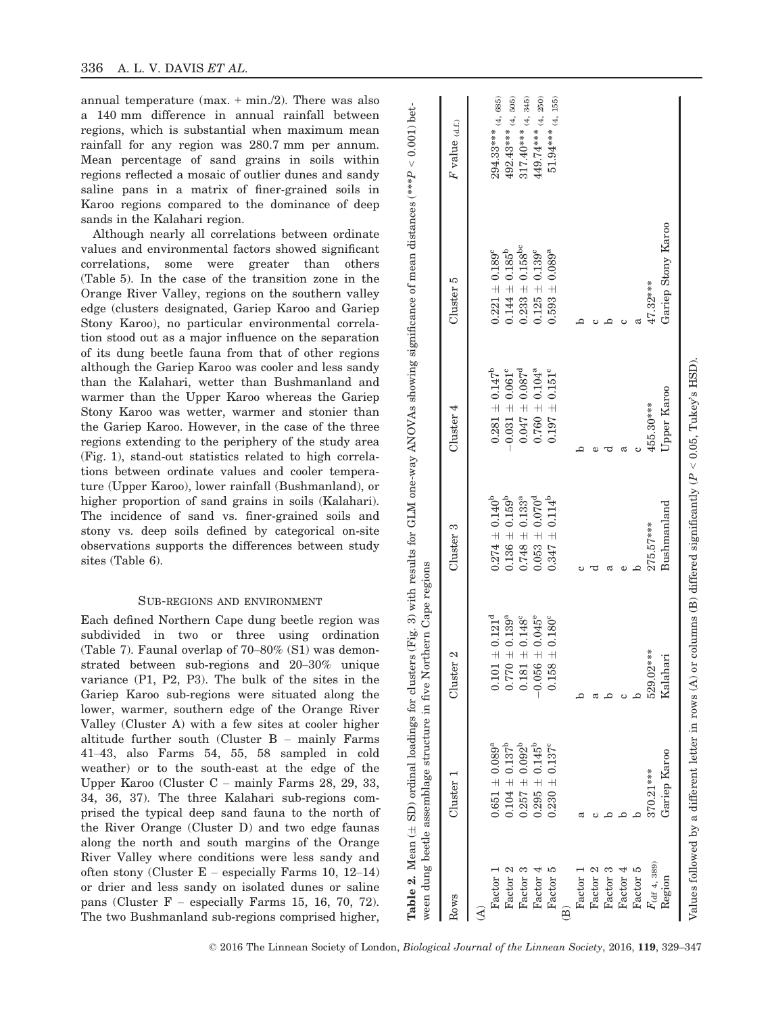annual temperature  $(max. + min./2)$ . There was also a 140 mm difference in annual rainfall between regions, which is substantial when maximum mean rainfall for any region was 280.7 mm per annum. Mean percentage of sand grains in soils within regions reflected a mosaic of outlier dunes and sandy saline pans in a matrix of finer-grained soils in Karoo regions compared to the dominance of deep sands in the Kalahari region.

Although nearly all correlations between ordinate values and environmental factors showed significant correlations, some were greater than others (Table 5). In the case of the transition zone in the Orange River Valley, regions on the southern valley edge (clusters designated, Gariep Karoo and Gariep Stony Karoo), no particular environmental correlation stood out as a major influence on the separation of its dung beetle fauna from that of other regions although the Gariep Karoo was cooler and less sandy than the Kalahari, wetter than Bushmanland and warmer than the Upper Karoo whereas the Gariep Stony Karoo was wetter, warmer and stonier than the Gariep Karoo. However, in the case of the three regions extending to the periphery of the study area (Fig. 1), stand-out statistics related to high correlations between ordinate values and cooler temperature (Upper Karoo), lower rainfall (Bushmanland), or higher proportion of sand grains in soils (Kalahari). The incidence of sand vs. finer-grained soils and stony vs. deep soils defined by categorical on-site observations supports the differences between study sites (Table 6).

#### SUB-REGIONS AND ENVIRONMENT

Each defined Northern Cape dung beetle region was subdivided in two or three using ordination (Table 7). Faunal overlap of 70–80% (S1) was demonstrated between sub-regions and 20–30% unique variance (P1, P2, P3). The bulk of the sites in the Gariep Karoo sub-regions were situated along the lower, warmer, southern edge of the Orange River Valley (Cluster A) with a few sites at cooler higher altitude further south (Cluster B – mainly Farms 41–43, also Farms 54, 55, 58 sampled in cold weather) or to the south-east at the edge of the Upper Karoo (Cluster C – mainly Farms 28, 29, 33, 34, 36, 37). The three Kalahari sub-regions comprised the typical deep sand fauna to the north of the River Orange (Cluster D) and two edge faunas along the north and south margins of the Orange River Valley where conditions were less sandy and often stony (Cluster  $E$  – especially Farms 10, 12–14) or drier and less sandy on isolated dunes or saline pans (Cluster  $F -$  especially Farms 15, 16, 70, 72). The two Bushmanland sub-regions comprised higher,

| Rows                    | $_{\rm Cluster}$ 1        | Cluster <sub>2</sub>           | Cluster 3                      | Cluster 4                       | Cluster 5                       | $\boldsymbol{F}$ value $_{(\text{d.f.})}$ |
|-------------------------|---------------------------|--------------------------------|--------------------------------|---------------------------------|---------------------------------|-------------------------------------------|
| $\hat{\mathcal{A}}$     |                           |                                |                                |                                 |                                 |                                           |
| Factor 1                | $0.651 \pm 0.089^a$       | $0.101 \pm 0.121^d$            | $0.274 \pm 0.140^b$            | $0.281 \pm 0.147^b$             | $0.221 \pm 0.189$ <sup>c</sup>  | $294.33***$ (4, 685)                      |
| Factor 2                | $0.104 \pm 0.137^b$       | $0.770 \pm 0.139^a$            | $0.136 \pm 0.159^{\rm b}$      | $-0.031 \pm 0.061$ <sup>c</sup> | $0.144 \pm 0.185^{b}$           | $492.43***$ (4, 505)                      |
| Factor 3                | $0.257 \pm 0.092^{b}$     | $0.181 \pm 0.148$ <sup>c</sup> | $0.748 \pm 0.133$ <sup>a</sup> | $0.047 \pm 0.087^d$             | $0.233 \pm 0.158$ <sup>bc</sup> | $317.40***$ (4, 345)                      |
| Factor 4                | $0.295 \pm 0.145^{\circ}$ | $-0.056 \pm 0.045^{\circ}$     | $0.053 \pm 0.070^d$            | $0.760 \pm 0.104^a$             | $0.125 \pm 0.139$ <sup>c</sup>  | $449.74***$ (4, 250)                      |
| Factor 5                | $0.230 + 0.137^c$         | $158 \pm 0.180^{\circ}$        | $0.347 \pm 0.114^{b}$          | $0.197 \pm 0.151$ <sup>c</sup>  | $0.593 \pm 0.089^a$             | $51.94***$ (4, 155)                       |
| $\widehat{\Xi}$         |                           |                                |                                |                                 |                                 |                                           |
| Factor 1                |                           |                                |                                |                                 |                                 |                                           |
| Factor 2                |                           |                                |                                |                                 |                                 |                                           |
| Factor 3                |                           |                                |                                |                                 |                                 |                                           |
| Factor $4$              |                           |                                |                                |                                 |                                 |                                           |
| Factor 5                |                           |                                |                                |                                 |                                 |                                           |
| $F_{\rm (df\ 4,\ 389)}$ | 370.21***                 | 529.02***                      | $275.57***$                    | 455.30***                       | 47.32***                        |                                           |
| Region                  | Gariep Karoo              | Kalahari                       | Bushmanland                    | Upper Karoo                     | Gariep Stony Karoo              |                                           |

 $\mathbf{I}$ 

 $\overline{\phantom{a}}$ 

 $\widehat{a}$   $\widehat{a}$   $\widehat{a}$   $\widehat{c}$   $\widehat{a}$ 

 $\mathbf{I}$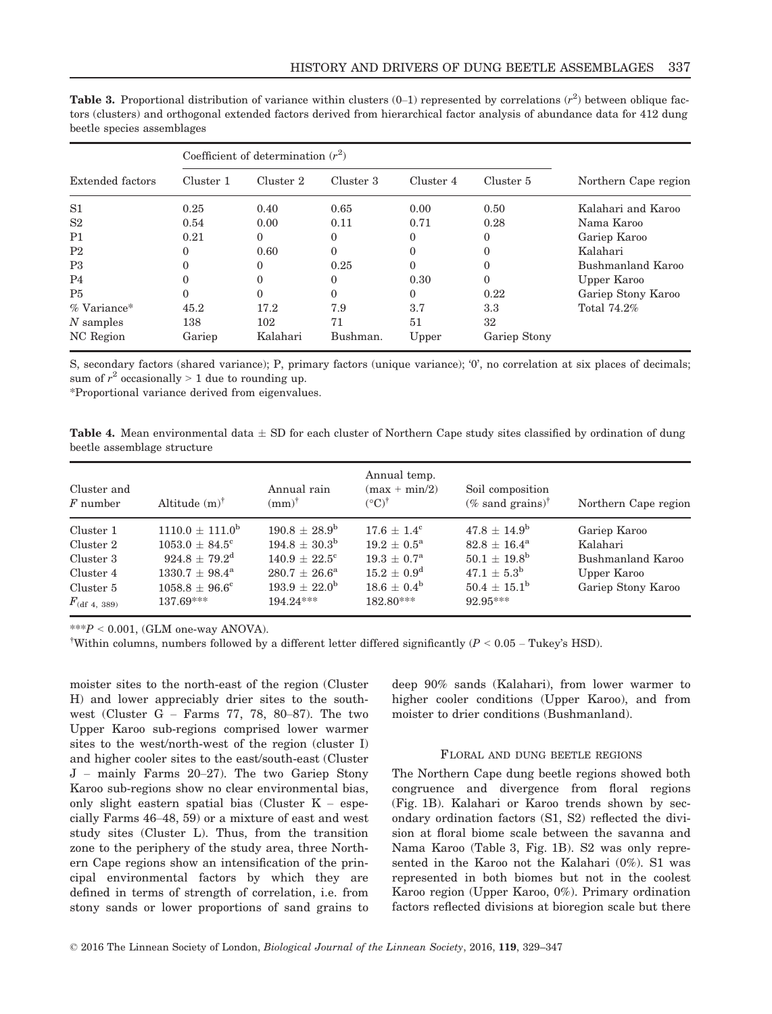|                  |           | Coefficient of determination $(r^2)$ |           |           |              |                      |  |  |  |
|------------------|-----------|--------------------------------------|-----------|-----------|--------------|----------------------|--|--|--|
| Extended factors | Cluster 1 | Cluster 2                            | Cluster 3 | Cluster 4 | Cluster 5    | Northern Cape region |  |  |  |
| S <sub>1</sub>   | 0.25      | 0.40                                 | 0.65      | 0.00      | 0.50         | Kalahari and Karoo   |  |  |  |
| S <sub>2</sub>   | 0.54      | 0.00                                 | 0.11      | 0.71      | 0.28         | Nama Karoo           |  |  |  |
| P <sub>1</sub>   | 0.21      | $\Omega$                             | 0         | 0         | 0            | Gariep Karoo         |  |  |  |
| P <sub>2</sub>   | 0         | 0.60                                 | $\Omega$  | 0         | 0            | Kalahari             |  |  |  |
| P3               | 0         | $\Omega$                             | 0.25      | 0         | 0            | Bushmanland Karoo    |  |  |  |
| P <sub>4</sub>   | 0         | $\Omega$                             | 0         | 0.30      | 0            | Upper Karoo          |  |  |  |
| P <sub>5</sub>   | 0         | $\Omega$                             | $\Omega$  | 0         | 0.22         | Gariep Stony Karoo   |  |  |  |
| $%$ Variance*    | 45.2      | 17.2                                 | 7.9       | 3.7       | 3.3          | Total 74.2%          |  |  |  |
| $N$ samples      | 138       | 102                                  | 71        | 51        | 32           |                      |  |  |  |
| NC Region        | Gariep    | Kalahari                             | Bushman.  | Upper     | Gariep Stony |                      |  |  |  |

**Table 3.** Proportional distribution of variance within clusters  $(0-1)$  represented by correlations  $(r^2)$  between oblique factors (clusters) and orthogonal extended factors derived from hierarchical factor analysis of abundance data for 412 dung beetle species assemblages

S, secondary factors (shared variance); P, primary factors (unique variance); '0', no correlation at six places of decimals; sum of  $r^2$  occasionally > 1 due to rounding up.

\*Proportional variance derived from eigenvalues.

**Table 4.** Mean environmental data  $\pm$  SD for each cluster of Northern Cape study sites classified by ordination of dung beetle assemblage structure

| Cluster and<br>$F$ number | Altitude $(m)^{\dagger}$     | Annual rain<br>$\text{m}^{\dagger}$ | Annual temp.<br>$(max + min/2)$<br>$({}^{\circ}C)^{\dagger}$ | Soil composition<br>(% sand grains) <sup>†</sup> | Northern Cape region |
|---------------------------|------------------------------|-------------------------------------|--------------------------------------------------------------|--------------------------------------------------|----------------------|
| Cluster 1                 | $1110.0 + 111.0^b$           | $190.8 + 28.9^{\circ}$              | $17.6 + 1.4^{\circ}$                                         | $47.8 \pm 14.9^{\rm b}$                          | Gariep Karoo         |
| Cluster 2                 | $1053.0 + 84.5^{\circ}$      | $194.8 + 30.3^{\rm b}$              | $19.2 + 0.5^{\rm a}$                                         | $82.8 + 16.4^{\rm a}$                            | Kalahari             |
| Cluster 3                 | $924.8 \pm 79.2^{\rm d}$     | $140.9 + 22.5^{\circ}$              | $19.3 + 0.7^{\rm a}$                                         | $50.1 + 19.8^{\rm b}$                            | Bushmanland Karoo    |
| Cluster 4                 | $1330.7 + 98.4^{\mathrm{a}}$ | $280.7 + 26.6^{\rm a}$              | $15.2 + 0.9^d$                                               | $47.1 + 5.3^{b}$                                 | Upper Karoo          |
| Cluster 5                 | $1058.8 + 96.6^{\circ}$      | $193.9 + 22.0^{\circ}$              | $18.6 + 0.4^b$                                               | $50.4 \pm 15.1^{\rm b}$                          | Gariep Stony Karoo   |
| $F_{\rm (df 4, 389)}$     | $137.69***$                  | $194.24***$                         | 182.80***                                                    | 92.95***                                         |                      |

 $***P < 0.001$ , (GLM one-way ANOVA).

<sup>†</sup>Within columns, numbers followed by a different letter differed significantly ( $P < 0.05$  – Tukey's HSD).

moister sites to the north-east of the region (Cluster H) and lower appreciably drier sites to the southwest (Cluster G – Farms 77, 78, 80–87). The two Upper Karoo sub-regions comprised lower warmer sites to the west/north-west of the region (cluster I) and higher cooler sites to the east/south-east (Cluster J – mainly Farms 20–27). The two Gariep Stony Karoo sub-regions show no clear environmental bias, only slight eastern spatial bias (Cluster K – especially Farms 46–48, 59) or a mixture of east and west study sites (Cluster L). Thus, from the transition zone to the periphery of the study area, three Northern Cape regions show an intensification of the principal environmental factors by which they are defined in terms of strength of correlation, i.e. from stony sands or lower proportions of sand grains to deep 90% sands (Kalahari), from lower warmer to higher cooler conditions (Upper Karoo), and from moister to drier conditions (Bushmanland).

## FLORAL AND DUNG BEETLE REGIONS

The Northern Cape dung beetle regions showed both congruence and divergence from floral regions (Fig. 1B). Kalahari or Karoo trends shown by secondary ordination factors (S1, S2) reflected the division at floral biome scale between the savanna and Nama Karoo (Table 3, Fig. 1B). S2 was only represented in the Karoo not the Kalahari (0%). S1 was represented in both biomes but not in the coolest Karoo region (Upper Karoo, 0%). Primary ordination factors reflected divisions at bioregion scale but there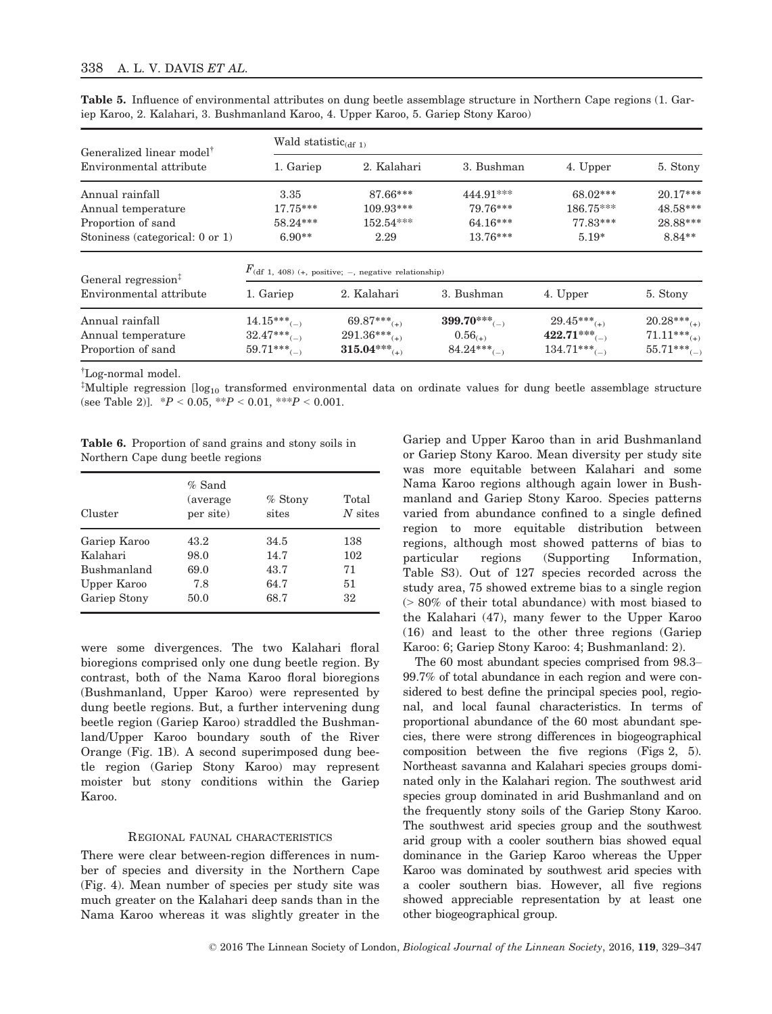|  | Table 5. Influence of environmental attributes on dung beetle assemblage structure in Northern Cape regions (1. Gar- |  |  |  |  |  |
|--|----------------------------------------------------------------------------------------------------------------------|--|--|--|--|--|
|  | iep Karoo, 2. Kalahari, 3. Bushmanland Karoo, 4. Upper Karoo, 5. Gariep Stony Karoo)                                 |  |  |  |  |  |

| Generalized linear model <sup>†</sup> | Wald statistic <sub>(df 1)</sub>                               |                            |                            |                            |                           |  |  |  |  |
|---------------------------------------|----------------------------------------------------------------|----------------------------|----------------------------|----------------------------|---------------------------|--|--|--|--|
| Environmental attribute               | 1. Gariep                                                      | 2. Kalahari                | 3. Bushman                 | 4. Upper                   | 5. Stony                  |  |  |  |  |
| Annual rainfall                       | 3.35                                                           | 87.66***                   | 444.91***                  | 68.02***                   | $20.17***$                |  |  |  |  |
| Annual temperature                    | $17.75***$                                                     | 109.93***                  | 79.76***                   | 186.75***                  | 48.58***                  |  |  |  |  |
| Proportion of sand                    | 58.24***                                                       | 152.54***                  | 64.16***                   | 77.83***                   | 28.88***                  |  |  |  |  |
| Stoniness (categorical: 0 or 1)       | $6.90**$                                                       | 2.29                       | $13.76***$                 | $5.19*$                    | 8.84**                    |  |  |  |  |
| General regression <sup>‡</sup>       | $F(\text{df } 1, 408)$ (+, positive; -, negative relationship) |                            |                            |                            |                           |  |  |  |  |
| Environmental attribute               | 1. Gariep                                                      | 2. Kalahari                | 3. Bushman                 | 4. Upper                   | 5. Stony                  |  |  |  |  |
| Annual rainfall                       | $14.15***_{(-)}$                                               | $69.87***$ <sub>(+)</sub>  | $399.70***$ <sub>(-)</sub> | $29.45***$ <sub>(+)</sub>  | $20.28***$ <sub>(+)</sub> |  |  |  |  |
| Annual temperature                    | $32.47***$ <sub>(-)</sub>                                      | $291.36***$ <sub>(+)</sub> | $0.56_{(+)}$               | $422.71***$ <sub>(-)</sub> | $71.11***$ <sub>(+)</sub> |  |  |  |  |
| Proportion of sand                    | $59.71***$ <sub>(-)</sub>                                      | $315.04***$ <sub>(+)</sub> | $84.24***$ <sub>(-)</sub>  | $134.71***$ <sub>(-)</sub> | $55.71***$ <sub>(-)</sub> |  |  |  |  |

† Log-normal model.

 $^{\ddagger}$ Multiple regression [log<sub>10</sub> transformed environmental data on ordinate values for dung beetle assemblage structure (see Table 2)].  $*P < 0.05$ ,  $*P < 0.01$ ,  $**P < 0.001$ .

Table 6. Proportion of sand grains and stony soils in Northern Cape dung beetle regions

| Cluster            | $%$ Sand<br>(average)<br>per site) | $%$ Stony<br>sites | Total<br>$N$ sites |
|--------------------|------------------------------------|--------------------|--------------------|
| Gariep Karoo       | 43.2                               | 34.5               | 138                |
| Kalahari           | 98.0                               | 14.7               | 102                |
| <b>Bushmanland</b> | 69.0                               | 43.7               | 71                 |
| Upper Karoo        | 7.8                                | 64.7               | 51                 |
| Gariep Stony       | 50.0                               | 68.7               | 32                 |

were some divergences. The two Kalahari floral bioregions comprised only one dung beetle region. By contrast, both of the Nama Karoo floral bioregions (Bushmanland, Upper Karoo) were represented by dung beetle regions. But, a further intervening dung beetle region (Gariep Karoo) straddled the Bushmanland/Upper Karoo boundary south of the River Orange (Fig. 1B). A second superimposed dung beetle region (Gariep Stony Karoo) may represent moister but stony conditions within the Gariep Karoo.

## REGIONAL FAUNAL CHARACTERISTICS

There were clear between-region differences in number of species and diversity in the Northern Cape (Fig. 4). Mean number of species per study site was much greater on the Kalahari deep sands than in the Nama Karoo whereas it was slightly greater in the Gariep and Upper Karoo than in arid Bushmanland or Gariep Stony Karoo. Mean diversity per study site was more equitable between Kalahari and some Nama Karoo regions although again lower in Bushmanland and Gariep Stony Karoo. Species patterns varied from abundance confined to a single defined region to more equitable distribution between regions, although most showed patterns of bias to particular regions (Supporting Information, Table S3). Out of 127 species recorded across the study area, 75 showed extreme bias to a single region (> 80% of their total abundance) with most biased to the Kalahari (47), many fewer to the Upper Karoo (16) and least to the other three regions (Gariep Karoo: 6; Gariep Stony Karoo: 4; Bushmanland: 2).

The 60 most abundant species comprised from 98.3– 99.7% of total abundance in each region and were considered to best define the principal species pool, regional, and local faunal characteristics. In terms of proportional abundance of the 60 most abundant species, there were strong differences in biogeographical composition between the five regions (Figs 2, 5). Northeast savanna and Kalahari species groups dominated only in the Kalahari region. The southwest arid species group dominated in arid Bushmanland and on the frequently stony soils of the Gariep Stony Karoo. The southwest arid species group and the southwest arid group with a cooler southern bias showed equal dominance in the Gariep Karoo whereas the Upper Karoo was dominated by southwest arid species with a cooler southern bias. However, all five regions showed appreciable representation by at least one other biogeographical group.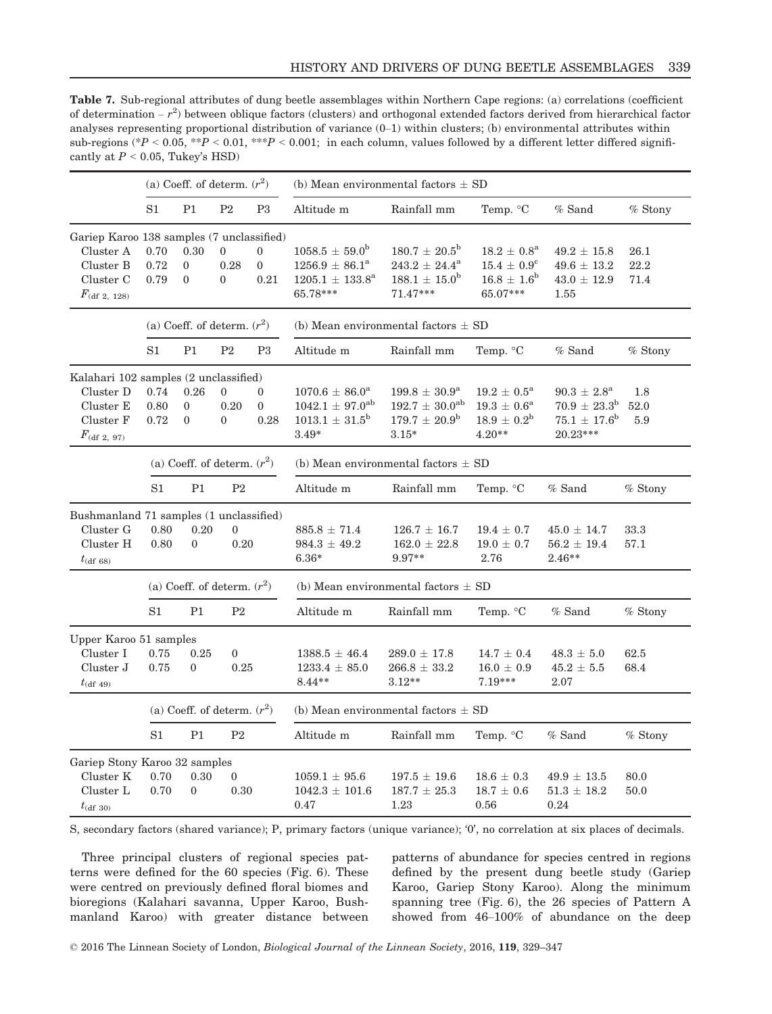Table 7. Sub-regional attributes of dung beetle assemblages within Northern Cape regions: (a) correlations (coefficient of determination  $-r^2$ ) between oblique factors (clusters) and orthogonal extended factors derived from hierarchical factor analyses representing proportional distribution of variance (0–1) within clusters; (b) environmental attributes within sub-regions (\* $P < 0.05$ , \*\* $P < 0.01$ , \*\* $P < 0.001$ ; in each column, values followed by a different letter differed significantly at  $P < 0.05$ , Tukey's HSD)

|                                                                                                           |                               |                                      | (a) Coeff. of determ. $(r^2)$            |                                    | (b) Mean environmental factors $\pm$ SD                                                            |                                                                                              |                                                                                           |                                                                                          |                      |  |  |
|-----------------------------------------------------------------------------------------------------------|-------------------------------|--------------------------------------|------------------------------------------|------------------------------------|----------------------------------------------------------------------------------------------------|----------------------------------------------------------------------------------------------|-------------------------------------------------------------------------------------------|------------------------------------------------------------------------------------------|----------------------|--|--|
|                                                                                                           | S1                            | P1                                   | P <sub>2</sub>                           | P <sub>3</sub>                     | Altitude m                                                                                         | Rainfall mm                                                                                  | Temp. °C                                                                                  | $%$ Sand                                                                                 | % Stony              |  |  |
| Gariep Karoo 138 samples (7 unclassified)<br>Cluster A<br>Cluster B<br>Cluster C<br>$F_{\rm (df 2, 128)}$ | 0.70<br>0.72<br>0.79          | 0.30<br>$\theta$<br>$\overline{0}$   | $\overline{0}$<br>0.28<br>$\Omega$       | $\mathbf{0}$<br>$\theta$<br>0.21   | $1058.5 \pm 59.0^{\rm b}$<br>$1256.9 \pm 86.1^a$<br>$1205.1 \pm 133.8^{\rm a}$<br>65.78***         | $180.7 \pm 20.5^{\rm b}$<br>$243.2 \pm 24.4^a$<br>$188.1 \pm 15.0^{\rm b}$<br>71.47***       | $18.2 \pm 0.8^{\rm a}$<br>$15.4 \pm 0.9^{\circ}$<br>$16.8 \pm 1.6^{\rm b}$<br>65.07***    | $49.2 \pm 15.8$<br>$49.6 \pm 13.2$<br>$43.0 \pm 12.9$<br>1.55                            | 26.1<br>22.2<br>71.4 |  |  |
|                                                                                                           | (a) Coeff. of determ. $(r^2)$ |                                      |                                          |                                    | (b) Mean environmental factors $\pm$ SD                                                            |                                                                                              |                                                                                           |                                                                                          |                      |  |  |
|                                                                                                           | S1                            | P1                                   | $\mathbf{P}2$                            | P <sub>3</sub>                     | Altitude m                                                                                         | Rainfall mm                                                                                  | Temp. °C                                                                                  | $%$ Sand                                                                                 | $%$ Stony            |  |  |
| Kalahari 102 samples (2 unclassified)<br>Cluster D<br>Cluster E<br>Cluster F<br>$F_{\rm (df 2, 97)}$      | 0.74<br>0.80<br>0.72          | 0.26<br>$\mathbf{0}$<br>$\mathbf{0}$ | $\overline{0}$<br>0.20<br>$\overline{0}$ | $\Omega$<br>$\overline{0}$<br>0.28 | $1070.6 \pm 86.0^{\text{a}}$<br>$1042.1 \pm 97.0^{\rm ab}$<br>$1013.1 \pm 31.5^{\rm b}$<br>$3.49*$ | $199.8 \pm 30.9^{\rm a}$<br>$192.7 \pm 30.0^{\rm ab}$<br>$179.7 \pm 20.9^{\rm b}$<br>$3.15*$ | $19.2 \pm 0.5^{\text{a}}$<br>$19.3 \pm 0.6^{\rm a}$<br>$18.9 \pm 0.2^{\rm b}$<br>$4.20**$ | $90.3 \pm 2.8^{\rm a}$<br>$70.9 \pm 23.3^{\rm b}$<br>$75.1 \pm 17.6^{\rm b}$<br>20.23*** | 1.8<br>52.0<br>5.9   |  |  |
|                                                                                                           | (a) Coeff. of determ. $(r^2)$ |                                      |                                          |                                    | (b) Mean environmental factors $\pm$ SD                                                            |                                                                                              |                                                                                           |                                                                                          |                      |  |  |
|                                                                                                           | S1                            | P1                                   | P <sub>2</sub>                           |                                    | Altitude m                                                                                         | Rainfall mm                                                                                  | Temp. °C                                                                                  | $%$ Sand                                                                                 | $%$ Stony            |  |  |
| Bushmanland 71 samples (1 unclassified)<br>Cluster G<br>Cluster H<br>$t_{\rm (df 68)}$                    | 0.80<br>0.80                  | 0.20<br>$\Omega$                     | $\theta$<br>0.20                         |                                    | $885.8 \pm 71.4$<br>$984.3 \pm 49.2$<br>$6.36*$                                                    | $126.7 \pm 16.7$<br>$162.0 \pm 22.8$<br>9.97**                                               | $19.4 \pm 0.7$<br>$19.0 \pm 0.7$<br>2.76                                                  | $45.0 \pm 14.7$<br>$56.2 \pm 19.4$<br>$2.46**$                                           | 33.3<br>57.1         |  |  |
|                                                                                                           |                               |                                      | (a) Coeff. of determ. $(r^2)$            |                                    | (b) Mean environmental factors $\pm$ SD                                                            |                                                                                              |                                                                                           |                                                                                          |                      |  |  |
|                                                                                                           | S1                            | P <sub>1</sub>                       | P <sub>2</sub>                           |                                    | Altitude m                                                                                         | Rainfall mm                                                                                  | Temp. °C                                                                                  | $%$ Sand                                                                                 | $%$ Stony            |  |  |
| Upper Karoo 51 samples<br>Cluster I<br>Cluster J<br>$t_{\rm (df 49)}$                                     | 0.75<br>0.75                  | 0.25<br>$\theta$                     | $\boldsymbol{0}$<br>0.25                 |                                    | $1388.5 \pm 46.4$<br>$1233.4 \pm 85.0$<br>$8.44**$                                                 | $289.0 \pm 17.8$<br>$266.8 \pm 33.2$<br>$3.12**$                                             | $14.7 \pm 0.4$<br>$16.0 \pm 0.9$<br>$7.19***$                                             | $48.3 \pm 5.0$<br>$45.2 \pm 5.5$<br>2.07                                                 | 62.5<br>68.4         |  |  |
|                                                                                                           |                               |                                      | (a) Coeff. of determ. $(r^2)$            |                                    | (b) Mean environmental factors $\pm$ SD                                                            |                                                                                              |                                                                                           |                                                                                          |                      |  |  |
|                                                                                                           | S1                            | P <sub>1</sub>                       | P <sub>2</sub>                           |                                    | Altitude m                                                                                         | Rainfall mm                                                                                  | Temp. °C                                                                                  | $%$ Sand                                                                                 | % Stony              |  |  |
| Gariep Stony Karoo 32 samples<br>Cluster K<br>Cluster L<br>$t_{\text{(df 30)}}$                           | 0.70<br>0.70                  | 0.30<br>$\overline{0}$               | $\overline{0}$<br>0.30                   |                                    | $1059.1 \pm 95.6$<br>$1042.3 \pm 101.6$<br>0.47                                                    | $197.5 \pm 19.6$<br>$187.7 \pm 25.3$<br>1.23                                                 | $18.6 \pm 0.3$<br>$18.7 \pm 0.6$<br>0.56                                                  | $49.9 \pm 13.5$<br>$51.3 \pm 18.2$<br>0.24                                               | 80.0<br>50.0         |  |  |

S, secondary factors (shared variance); P, primary factors (unique variance); '0', no correlation at six places of decimals.

Three principal clusters of regional species patterns were defined for the 60 species (Fig. 6). These were centred on previously defined floral biomes and bioregions (Kalahari savanna, Upper Karoo, Bushmanland Karoo) with greater distance between patterns of abundance for species centred in regions defined by the present dung beetle study (Gariep Karoo, Gariep Stony Karoo). Along the minimum spanning tree (Fig. 6), the 26 species of Pattern A showed from 46–100% of abundance on the deep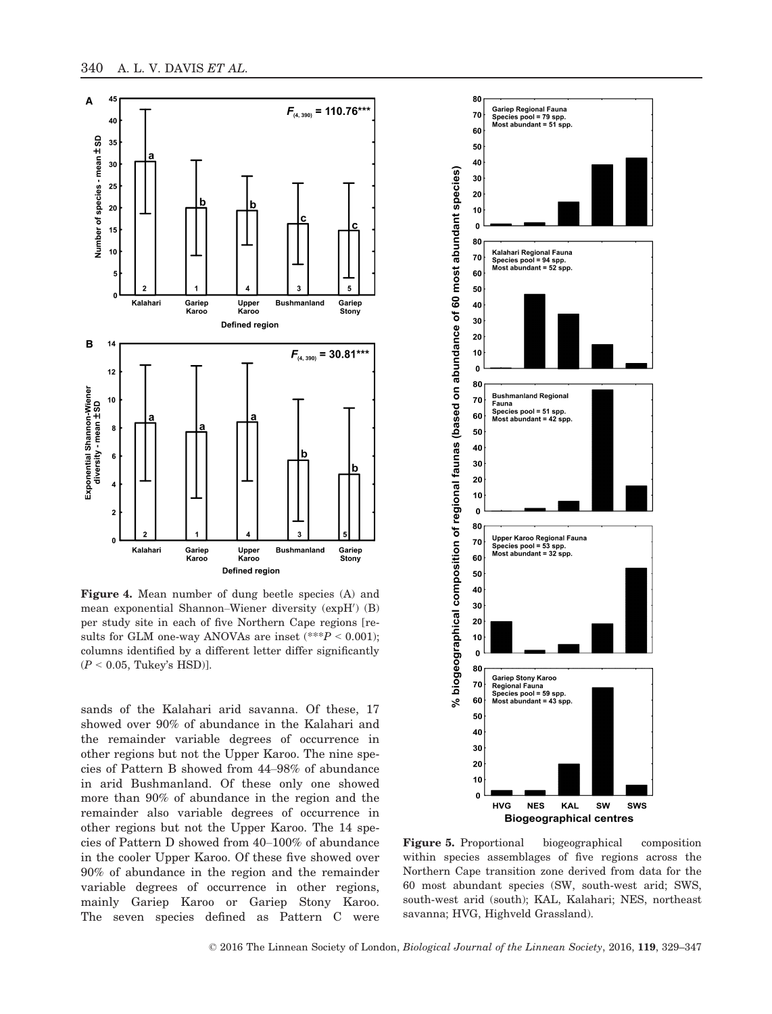

Figure 4. Mean number of dung beetle species (A) and mean exponential Shannon–Wiener diversity (expH') (B) per study site in each of five Northern Cape regions [results for GLM one-way ANOVAs are inset (\*\*\* $P < 0.001$ ); columns identified by a different letter differ significantly  $(P < 0.05$ , Tukey's HSD)].

sands of the Kalahari arid savanna. Of these, 17 showed over 90% of abundance in the Kalahari and the remainder variable degrees of occurrence in other regions but not the Upper Karoo. The nine species of Pattern B showed from 44–98% of abundance in arid Bushmanland. Of these only one showed more than 90% of abundance in the region and the remainder also variable degrees of occurrence in other regions but not the Upper Karoo. The 14 species of Pattern D showed from 40–100% of abundance in the cooler Upper Karoo. Of these five showed over 90% of abundance in the region and the remainder variable degrees of occurrence in other regions, mainly Gariep Karoo or Gariep Stony Karoo. The seven species defined as Pattern C were



Figure 5. Proportional biogeographical composition within species assemblages of five regions across the Northern Cape transition zone derived from data for the 60 most abundant species (SW, south-west arid; SWS, south-west arid (south); KAL, Kalahari; NES, northeast savanna; HVG, Highveld Grassland).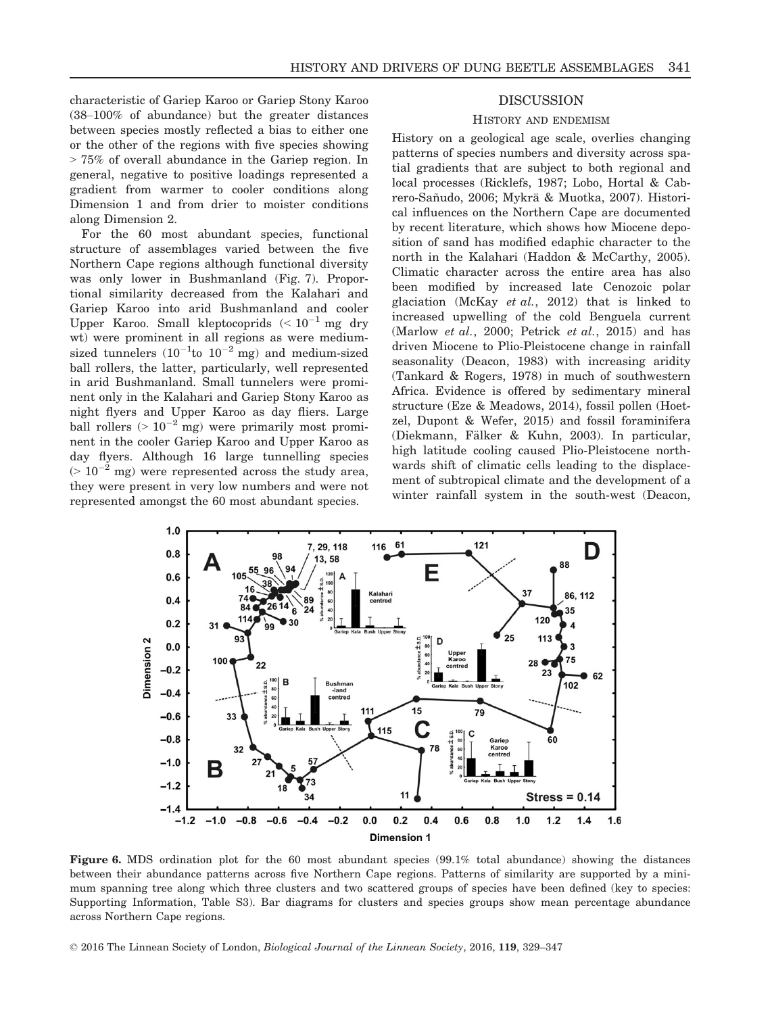characteristic of Gariep Karoo or Gariep Stony Karoo (38–100% of abundance) but the greater distances between species mostly reflected a bias to either one or the other of the regions with five species showing > 75% of overall abundance in the Gariep region. In general, negative to positive loadings represented a gradient from warmer to cooler conditions along Dimension 1 and from drier to moister conditions along Dimension 2.

For the 60 most abundant species, functional structure of assemblages varied between the five Northern Cape regions although functional diversity was only lower in Bushmanland (Fig. 7). Proportional similarity decreased from the Kalahari and Gariep Karoo into arid Bushmanland and cooler Upper Karoo. Small kleptocoprids  $($  <  $10^{-1}$  mg dry wt) were prominent in all regions as were mediumsized tunnelers  $(10^{-1}$ to  $10^{-2}$  mg) and medium-sized ball rollers, the latter, particularly, well represented in arid Bushmanland. Small tunnelers were prominent only in the Kalahari and Gariep Stony Karoo as night flyers and Upper Karoo as day fliers. Large ball rollers  $(>10^{-2} \text{ mg})$  were primarily most prominent in the cooler Gariep Karoo and Upper Karoo as day flyers. Although 16 large tunnelling species  $(> 10^{-2}$  mg) were represented across the study area, they were present in very low numbers and were not represented amongst the 60 most abundant species.

# DISCUSSION

#### HISTORY AND ENDEMISM

History on a geological age scale, overlies changing patterns of species numbers and diversity across spatial gradients that are subject to both regional and local processes (Ricklefs, 1987; Lobo, Hortal & Cabrero-Sañudo, 2006; Mykrä & Muotka, 2007). Historical influences on the Northern Cape are documented by recent literature, which shows how Miocene deposition of sand has modified edaphic character to the north in the Kalahari (Haddon & McCarthy, 2005). Climatic character across the entire area has also been modified by increased late Cenozoic polar glaciation (McKay et al., 2012) that is linked to increased upwelling of the cold Benguela current (Marlow *et al.*, 2000; Petrick *et al.*, 2015) and has driven Miocene to Plio-Pleistocene change in rainfall seasonality (Deacon, 1983) with increasing aridity (Tankard & Rogers, 1978) in much of southwestern Africa. Evidence is offered by sedimentary mineral structure (Eze & Meadows, 2014), fossil pollen (Hoetzel, Dupont & Wefer, 2015) and fossil foraminifera (Diekmann, Fälker & Kuhn, 2003). In particular, high latitude cooling caused Plio-Pleistocene northwards shift of climatic cells leading to the displacement of subtropical climate and the development of a winter rainfall system in the south-west (Deacon,



Figure 6. MDS ordination plot for the 60 most abundant species (99.1% total abundance) showing the distances between their abundance patterns across five Northern Cape regions. Patterns of similarity are supported by a minimum spanning tree along which three clusters and two scattered groups of species have been defined (key to species: Supporting Information, Table S3). Bar diagrams for clusters and species groups show mean percentage abundance across Northern Cape regions.

© 2016 The Linnean Society of London, Biological Journal of the Linnean Society, 2016, 119, 329–347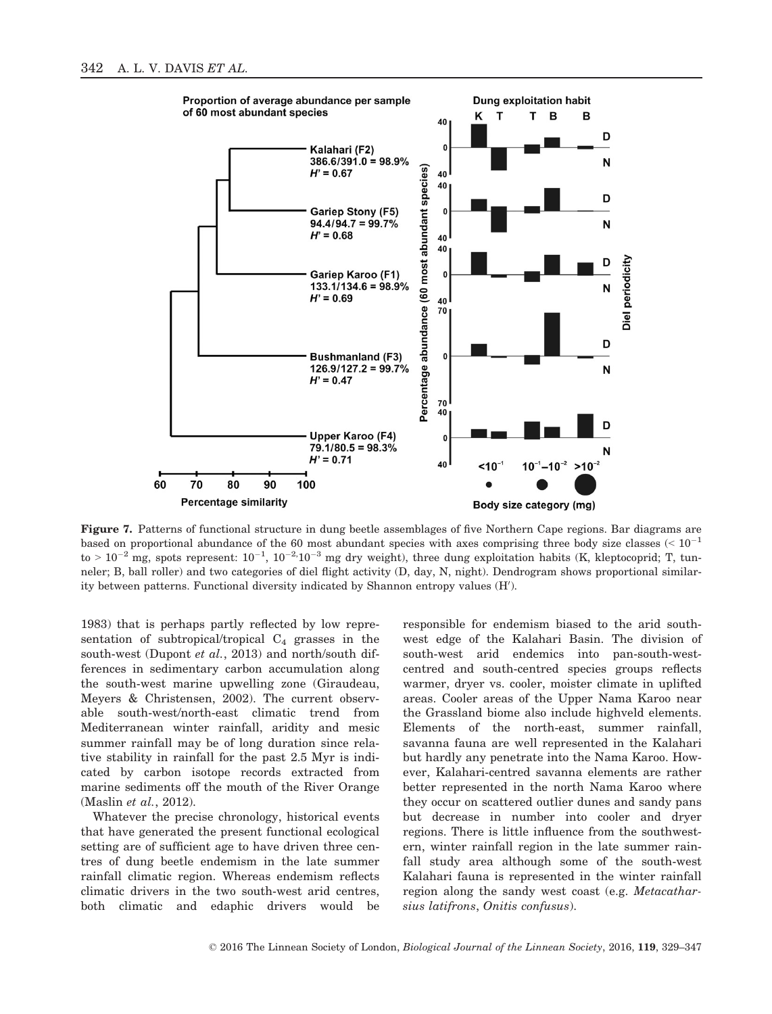

Figure 7. Patterns of functional structure in dung beetle assemblages of five Northern Cape regions. Bar diagrams are based on proportional abundance of the 60 most abundant species with axes comprising three body size classes (<  $10^{-1}$ to  $> 10^{-2}$  mg, spots represent:  $10^{-1}$ ,  $10^{-2}$ ,  $10^{-3}$  mg dry weight), three dung exploitation habits (K, kleptocoprid; T, tunneler; B, ball roller) and two categories of diel flight activity (D, day, N, night). Dendrogram shows proportional similarity between patterns. Functional diversity indicated by Shannon entropy values (H').

1983) that is perhaps partly reflected by low representation of subtropical/tropical  $C_4$  grasses in the south-west (Dupont et al., 2013) and north/south differences in sedimentary carbon accumulation along the south-west marine upwelling zone (Giraudeau, Meyers & Christensen, 2002). The current observable south-west/north-east climatic trend from Mediterranean winter rainfall, aridity and mesic summer rainfall may be of long duration since relative stability in rainfall for the past 2.5 Myr is indicated by carbon isotope records extracted from marine sediments off the mouth of the River Orange (Maslin et al., 2012).

Whatever the precise chronology, historical events that have generated the present functional ecological setting are of sufficient age to have driven three centres of dung beetle endemism in the late summer rainfall climatic region. Whereas endemism reflects climatic drivers in the two south-west arid centres, both climatic and edaphic drivers would be

responsible for endemism biased to the arid southwest edge of the Kalahari Basin. The division of south-west arid endemics into pan-south-westcentred and south-centred species groups reflects warmer, dryer vs. cooler, moister climate in uplifted areas. Cooler areas of the Upper Nama Karoo near the Grassland biome also include highveld elements. Elements of the north-east, summer rainfall, savanna fauna are well represented in the Kalahari but hardly any penetrate into the Nama Karoo. However, Kalahari-centred savanna elements are rather better represented in the north Nama Karoo where they occur on scattered outlier dunes and sandy pans but decrease in number into cooler and dryer regions. There is little influence from the southwestern, winter rainfall region in the late summer rainfall study area although some of the south-west Kalahari fauna is represented in the winter rainfall region along the sandy west coast (e.g. Metacatharsius latifrons, Onitis confusus).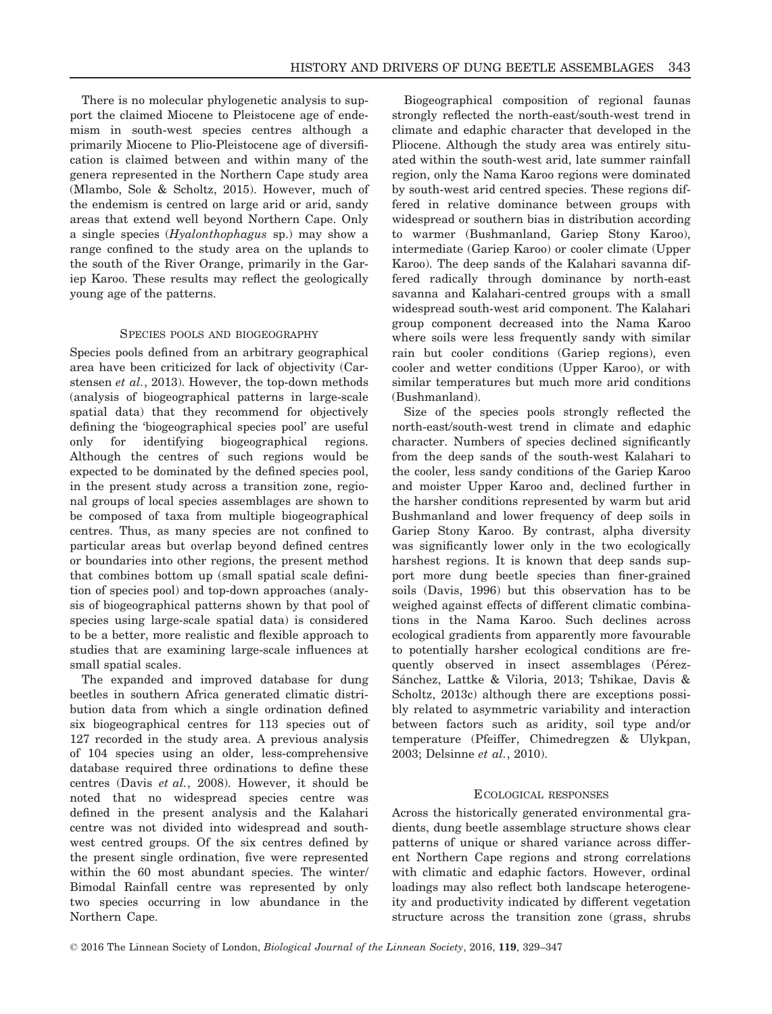There is no molecular phylogenetic analysis to support the claimed Miocene to Pleistocene age of endemism in south-west species centres although a primarily Miocene to Plio-Pleistocene age of diversification is claimed between and within many of the genera represented in the Northern Cape study area (Mlambo, Sole & Scholtz, 2015). However, much of the endemism is centred on large arid or arid, sandy areas that extend well beyond Northern Cape. Only a single species (Hyalonthophagus sp.) may show a range confined to the study area on the uplands to the south of the River Orange, primarily in the Gariep Karoo. These results may reflect the geologically young age of the patterns.

## SPECIES POOLS AND BIOGEOGRAPHY

Species pools defined from an arbitrary geographical area have been criticized for lack of objectivity (Carstensen et al., 2013). However, the top-down methods (analysis of biogeographical patterns in large-scale spatial data) that they recommend for objectively defining the 'biogeographical species pool' are useful only for identifying biogeographical regions. Although the centres of such regions would be expected to be dominated by the defined species pool, in the present study across a transition zone, regional groups of local species assemblages are shown to be composed of taxa from multiple biogeographical centres. Thus, as many species are not confined to particular areas but overlap beyond defined centres or boundaries into other regions, the present method that combines bottom up (small spatial scale definition of species pool) and top-down approaches (analysis of biogeographical patterns shown by that pool of species using large-scale spatial data) is considered to be a better, more realistic and flexible approach to studies that are examining large-scale influences at small spatial scales.

The expanded and improved database for dung beetles in southern Africa generated climatic distribution data from which a single ordination defined six biogeographical centres for 113 species out of 127 recorded in the study area. A previous analysis of 104 species using an older, less-comprehensive database required three ordinations to define these centres (Davis et al., 2008). However, it should be noted that no widespread species centre was defined in the present analysis and the Kalahari centre was not divided into widespread and southwest centred groups. Of the six centres defined by the present single ordination, five were represented within the 60 most abundant species. The winter/ Bimodal Rainfall centre was represented by only two species occurring in low abundance in the Northern Cape.

Biogeographical composition of regional faunas strongly reflected the north-east/south-west trend in climate and edaphic character that developed in the Pliocene. Although the study area was entirely situated within the south-west arid, late summer rainfall region, only the Nama Karoo regions were dominated by south-west arid centred species. These regions differed in relative dominance between groups with widespread or southern bias in distribution according to warmer (Bushmanland, Gariep Stony Karoo), intermediate (Gariep Karoo) or cooler climate (Upper Karoo). The deep sands of the Kalahari savanna differed radically through dominance by north-east savanna and Kalahari-centred groups with a small widespread south-west arid component. The Kalahari group component decreased into the Nama Karoo where soils were less frequently sandy with similar rain but cooler conditions (Gariep regions), even cooler and wetter conditions (Upper Karoo), or with similar temperatures but much more arid conditions (Bushmanland).

Size of the species pools strongly reflected the north-east/south-west trend in climate and edaphic character. Numbers of species declined significantly from the deep sands of the south-west Kalahari to the cooler, less sandy conditions of the Gariep Karoo and moister Upper Karoo and, declined further in the harsher conditions represented by warm but arid Bushmanland and lower frequency of deep soils in Gariep Stony Karoo. By contrast, alpha diversity was significantly lower only in the two ecologically harshest regions. It is known that deep sands support more dung beetle species than finer-grained soils (Davis, 1996) but this observation has to be weighed against effects of different climatic combinations in the Nama Karoo. Such declines across ecological gradients from apparently more favourable to potentially harsher ecological conditions are frequently observed in insect assemblages (Pérez-Sánchez, Lattke & Viloria, 2013; Tshikae, Davis & Scholtz, 2013c) although there are exceptions possibly related to asymmetric variability and interaction between factors such as aridity, soil type and/or temperature (Pfeiffer, Chimedregzen & Ulykpan, 2003; Delsinne et al., 2010).

## ECOLOGICAL RESPONSES

Across the historically generated environmental gradients, dung beetle assemblage structure shows clear patterns of unique or shared variance across different Northern Cape regions and strong correlations with climatic and edaphic factors. However, ordinal loadings may also reflect both landscape heterogeneity and productivity indicated by different vegetation structure across the transition zone (grass, shrubs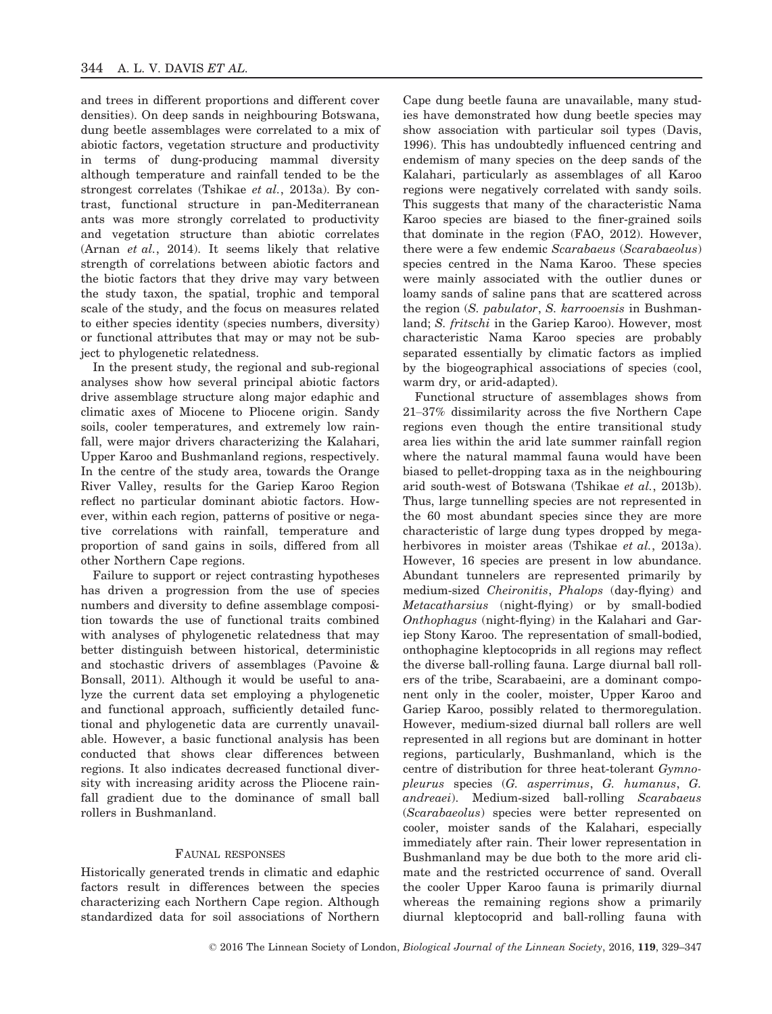and trees in different proportions and different cover densities). On deep sands in neighbouring Botswana, dung beetle assemblages were correlated to a mix of abiotic factors, vegetation structure and productivity in terms of dung-producing mammal diversity although temperature and rainfall tended to be the strongest correlates (Tshikae et al., 2013a). By contrast, functional structure in pan-Mediterranean ants was more strongly correlated to productivity and vegetation structure than abiotic correlates (Arnan et al., 2014). It seems likely that relative strength of correlations between abiotic factors and the biotic factors that they drive may vary between the study taxon, the spatial, trophic and temporal scale of the study, and the focus on measures related to either species identity (species numbers, diversity) or functional attributes that may or may not be subject to phylogenetic relatedness.

In the present study, the regional and sub-regional analyses show how several principal abiotic factors drive assemblage structure along major edaphic and climatic axes of Miocene to Pliocene origin. Sandy soils, cooler temperatures, and extremely low rainfall, were major drivers characterizing the Kalahari, Upper Karoo and Bushmanland regions, respectively. In the centre of the study area, towards the Orange River Valley, results for the Gariep Karoo Region reflect no particular dominant abiotic factors. However, within each region, patterns of positive or negative correlations with rainfall, temperature and proportion of sand gains in soils, differed from all other Northern Cape regions.

Failure to support or reject contrasting hypotheses has driven a progression from the use of species numbers and diversity to define assemblage composition towards the use of functional traits combined with analyses of phylogenetic relatedness that may better distinguish between historical, deterministic and stochastic drivers of assemblages (Pavoine & Bonsall, 2011). Although it would be useful to analyze the current data set employing a phylogenetic and functional approach, sufficiently detailed functional and phylogenetic data are currently unavailable. However, a basic functional analysis has been conducted that shows clear differences between regions. It also indicates decreased functional diversity with increasing aridity across the Pliocene rainfall gradient due to the dominance of small ball rollers in Bushmanland.

# FAUNAL RESPONSES

Historically generated trends in climatic and edaphic factors result in differences between the species characterizing each Northern Cape region. Although standardized data for soil associations of Northern

Cape dung beetle fauna are unavailable, many studies have demonstrated how dung beetle species may show association with particular soil types (Davis, 1996). This has undoubtedly influenced centring and endemism of many species on the deep sands of the Kalahari, particularly as assemblages of all Karoo regions were negatively correlated with sandy soils. This suggests that many of the characteristic Nama Karoo species are biased to the finer-grained soils that dominate in the region (FAO, 2012). However, there were a few endemic Scarabaeus (Scarabaeolus) species centred in the Nama Karoo. These species were mainly associated with the outlier dunes or loamy sands of saline pans that are scattered across the region (S. pabulator, S. karrooensis in Bushmanland; S. fritschi in the Gariep Karoo). However, most characteristic Nama Karoo species are probably separated essentially by climatic factors as implied by the biogeographical associations of species (cool, warm dry, or arid-adapted).

Functional structure of assemblages shows from 21–37% dissimilarity across the five Northern Cape regions even though the entire transitional study area lies within the arid late summer rainfall region where the natural mammal fauna would have been biased to pellet-dropping taxa as in the neighbouring arid south-west of Botswana (Tshikae et al., 2013b). Thus, large tunnelling species are not represented in the 60 most abundant species since they are more characteristic of large dung types dropped by megaherbivores in moister areas (Tshikae et al., 2013a). However, 16 species are present in low abundance. Abundant tunnelers are represented primarily by medium-sized Cheironitis, Phalops (day-flying) and Metacatharsius (night-flying) or by small-bodied Onthophagus (night-flying) in the Kalahari and Gariep Stony Karoo. The representation of small-bodied, onthophagine kleptocoprids in all regions may reflect the diverse ball-rolling fauna. Large diurnal ball rollers of the tribe, Scarabaeini, are a dominant component only in the cooler, moister, Upper Karoo and Gariep Karoo, possibly related to thermoregulation. However, medium-sized diurnal ball rollers are well represented in all regions but are dominant in hotter regions, particularly, Bushmanland, which is the centre of distribution for three heat-tolerant Gymnopleurus species (G. asperrimus, G. humanus, G. andreaei). Medium-sized ball-rolling Scarabaeus (Scarabaeolus) species were better represented on cooler, moister sands of the Kalahari, especially immediately after rain. Their lower representation in Bushmanland may be due both to the more arid climate and the restricted occurrence of sand. Overall the cooler Upper Karoo fauna is primarily diurnal whereas the remaining regions show a primarily diurnal kleptocoprid and ball-rolling fauna with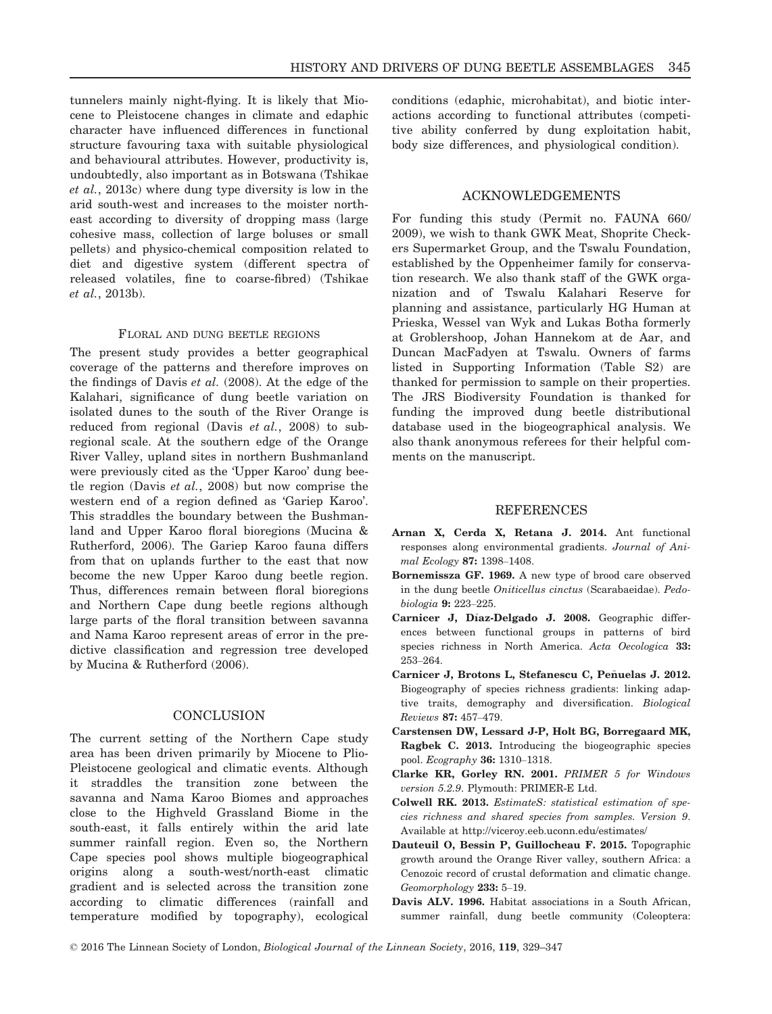tunnelers mainly night-flying. It is likely that Miocene to Pleistocene changes in climate and edaphic character have influenced differences in functional structure favouring taxa with suitable physiological and behavioural attributes. However, productivity is, undoubtedly, also important as in Botswana (Tshikae et al., 2013c) where dung type diversity is low in the arid south-west and increases to the moister northeast according to diversity of dropping mass (large cohesive mass, collection of large boluses or small pellets) and physico-chemical composition related to diet and digestive system (different spectra of released volatiles, fine to coarse-fibred) (Tshikae et al., 2013b).

#### FLORAL AND DUNG BEETLE REGIONS

The present study provides a better geographical coverage of the patterns and therefore improves on the findings of Davis et al. (2008). At the edge of the Kalahari, significance of dung beetle variation on isolated dunes to the south of the River Orange is reduced from regional (Davis  $et$   $al., 2008$ ) to subregional scale. At the southern edge of the Orange River Valley, upland sites in northern Bushmanland were previously cited as the 'Upper Karoo' dung beetle region (Davis et al., 2008) but now comprise the western end of a region defined as 'Gariep Karoo'. This straddles the boundary between the Bushmanland and Upper Karoo floral bioregions (Mucina & Rutherford, 2006). The Gariep Karoo fauna differs from that on uplands further to the east that now become the new Upper Karoo dung beetle region. Thus, differences remain between floral bioregions and Northern Cape dung beetle regions although large parts of the floral transition between savanna and Nama Karoo represent areas of error in the predictive classification and regression tree developed by Mucina & Rutherford (2006).

# **CONCLUSION**

The current setting of the Northern Cape study area has been driven primarily by Miocene to Plio-Pleistocene geological and climatic events. Although it straddles the transition zone between the savanna and Nama Karoo Biomes and approaches close to the Highveld Grassland Biome in the south-east, it falls entirely within the arid late summer rainfall region. Even so, the Northern Cape species pool shows multiple biogeographical origins along a south-west/north-east climatic gradient and is selected across the transition zone according to climatic differences (rainfall and temperature modified by topography), ecological conditions (edaphic, microhabitat), and biotic interactions according to functional attributes (competitive ability conferred by dung exploitation habit, body size differences, and physiological condition).

# ACKNOWLEDGEMENTS

For funding this study (Permit no. FAUNA 660/ 2009), we wish to thank GWK Meat, Shoprite Checkers Supermarket Group, and the Tswalu Foundation, established by the Oppenheimer family for conservation research. We also thank staff of the GWK organization and of Tswalu Kalahari Reserve for planning and assistance, particularly HG Human at Prieska, Wessel van Wyk and Lukas Botha formerly at Groblershoop, Johan Hannekom at de Aar, and Duncan MacFadyen at Tswalu. Owners of farms listed in Supporting Information (Table S2) are thanked for permission to sample on their properties. The JRS Biodiversity Foundation is thanked for funding the improved dung beetle distributional database used in the biogeographical analysis. We also thank anonymous referees for their helpful comments on the manuscript.

## REFERENCES

- Arnan X, Cerda X, Retana J. 2014. Ant functional responses along environmental gradients. Journal of Animal Ecology 87: 1398–1408.
- Bornemissza GF. 1969. A new type of brood care observed in the dung beetle Oniticellus cinctus (Scarabaeidae). Pedobiologia 9: 223–225.
- Carnicer J, Díaz-Delgado J. 2008. Geographic differences between functional groups in patterns of bird species richness in North America. Acta Oecologica 33: 253–264.
- Carnicer J, Brotons L, Stefanescu C, Peñuelas J. 2012. Biogeography of species richness gradients: linking adaptive traits, demography and diversification. Biological Reviews 87: 457–479.
- Carstensen DW, Lessard J-P, Holt BG, Borregaard MK, Ragbek C. 2013. Introducing the biogeographic species pool. Ecography 36: 1310–1318.
- Clarke KR, Gorley RN. 2001. PRIMER 5 for Windows version 5.2.9. Plymouth: PRIMER-E Ltd.
- Colwell RK. 2013. EstimateS: statistical estimation of species richness and shared species from samples. Version 9. Available at<http://viceroy.eeb.uconn.edu/estimates/>
- Dauteuil O, Bessin P, Guillocheau F. 2015. Topographic growth around the Orange River valley, southern Africa: a Cenozoic record of crustal deformation and climatic change. Geomorphology 233: 5–19.
- Davis ALV. 1996. Habitat associations in a South African, summer rainfall, dung beetle community (Coleoptera: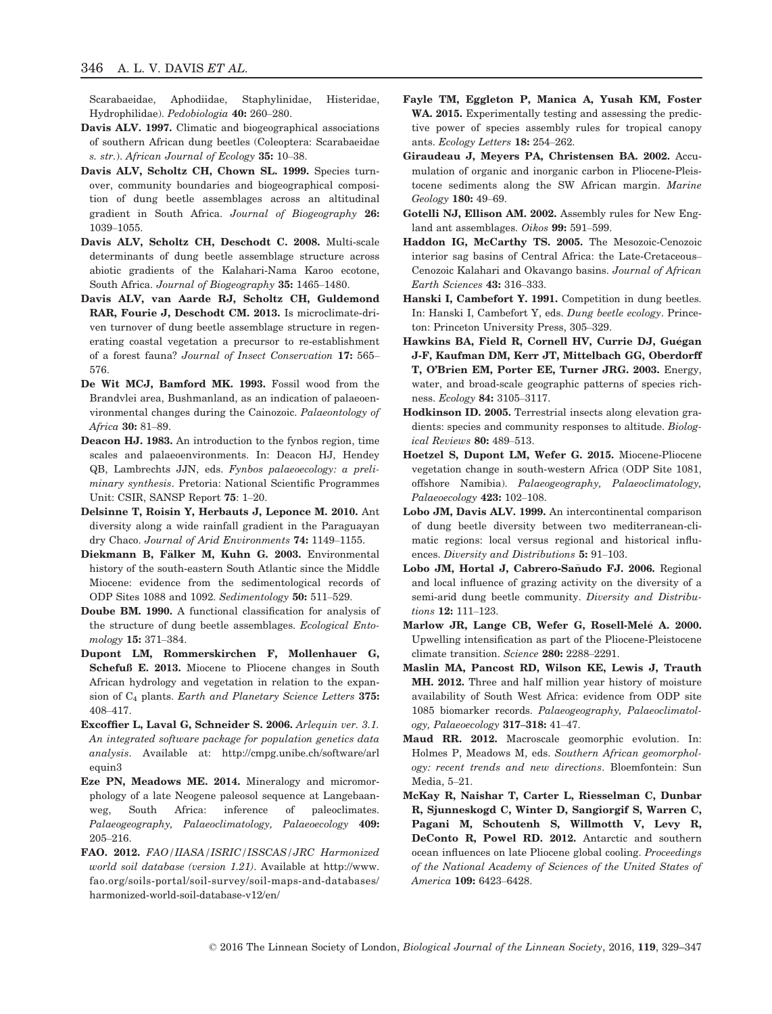Scarabaeidae, Aphodiidae, Staphylinidae, Histeridae, Hydrophilidae). Pedobiologia 40: 260–280.

- Davis ALV. 1997. Climatic and biogeographical associations of southern African dung beetles (Coleoptera: Scarabaeidae s. str.). African Journal of Ecology 35: 10–38.
- Davis ALV, Scholtz CH, Chown SL. 1999. Species turnover, community boundaries and biogeographical composition of dung beetle assemblages across an altitudinal gradient in South Africa. Journal of Biogeography 26: 1039–1055.
- Davis ALV, Scholtz CH, Deschodt C. 2008. Multi-scale determinants of dung beetle assemblage structure across abiotic gradients of the Kalahari-Nama Karoo ecotone, South Africa. Journal of Biogeography 35: 1465–1480.
- Davis ALV, van Aarde RJ, Scholtz CH, Guldemond RAR, Fourie J, Deschodt CM. 2013. Is microclimate-driven turnover of dung beetle assemblage structure in regenerating coastal vegetation a precursor to re-establishment of a forest fauna? Journal of Insect Conservation 17: 565– 576.
- De Wit MCJ, Bamford MK. 1993. Fossil wood from the Brandvlei area, Bushmanland, as an indication of palaeoenvironmental changes during the Cainozoic. Palaeontology of Africa 30: 81–89.
- Deacon HJ. 1983. An introduction to the fynbos region, time scales and palaeoenvironments. In: Deacon HJ, Hendey QB, Lambrechts JJN, eds. Fynbos palaeoecology: a preliminary synthesis. Pretoria: National Scientific Programmes Unit: CSIR, SANSP Report 75: 1–20.
- Delsinne T, Roisin Y, Herbauts J, Leponce M. 2010. Ant diversity along a wide rainfall gradient in the Paraguayan dry Chaco. Journal of Arid Environments 74: 1149–1155.
- Diekmann B, Fälker M, Kuhn G. 2003. Environmental history of the south-eastern South Atlantic since the Middle Miocene: evidence from the sedimentological records of ODP Sites 1088 and 1092. Sedimentology 50: 511–529.
- Doube BM. 1990. A functional classification for analysis of the structure of dung beetle assemblages. Ecological Entomology 15: 371–384.
- Dupont LM, Rommerskirchen F, Mollenhauer G, Schefuß E. 2013. Miocene to Pliocene changes in South African hydrology and vegetation in relation to the expansion of C<sub>4</sub> plants. Earth and Planetary Science Letters 375: 408–417.
- Excoffier L, Laval G, Schneider S. 2006. Arlequin ver. 3.1. An integrated software package for population genetics data analysis. Available at: [http://cmpg.unibe.ch/software/arl](http://cmpg.unibe.ch/software/arlequin3) [equin3](http://cmpg.unibe.ch/software/arlequin3)
- Eze PN, Meadows ME. 2014. Mineralogy and micromorphology of a late Neogene paleosol sequence at Langebaanweg, South Africa: inference of paleoclimates. Palaeogeography, Palaeoclimatology, Palaeoecology 409: 205–216.
- FAO. 2012. FAO/IIASA/ISRIC/ISSCAS/JRC Harmonized world soil database (version 1.21). Available at [http://www.](http://www.fao.org/soils-portal/soil-survey/soil-maps-and-databases/harmonized-world-soil-database-v12/en/) [fao.org/soils-portal/soil-survey/soil-maps-and-databases/](http://www.fao.org/soils-portal/soil-survey/soil-maps-and-databases/harmonized-world-soil-database-v12/en/) [harmonized-world-soil-database-v12/en/](http://www.fao.org/soils-portal/soil-survey/soil-maps-and-databases/harmonized-world-soil-database-v12/en/)
- Fayle TM, Eggleton P, Manica A, Yusah KM, Foster WA. 2015. Experimentally testing and assessing the predictive power of species assembly rules for tropical canopy ants. Ecology Letters 18: 254–262.
- Giraudeau J, Meyers PA, Christensen BA. 2002. Accumulation of organic and inorganic carbon in Pliocene-Pleistocene sediments along the SW African margin. Marine Geology 180: 49–69.
- Gotelli NJ, Ellison AM. 2002. Assembly rules for New England ant assemblages. Oikos 99: 591–599.
- Haddon IG, McCarthy TS. 2005. The Mesozoic-Cenozoic interior sag basins of Central Africa: the Late-Cretaceous– Cenozoic Kalahari and Okavango basins. Journal of African Earth Sciences 43: 316–333.
- Hanski I, Cambefort Y. 1991. Competition in dung beetles. In: Hanski I, Cambefort Y, eds. Dung beetle ecology. Princeton: Princeton University Press, 305–329.
- Hawkins BA, Field R, Cornell HV, Currie DJ, Guégan J-F, Kaufman DM, Kerr JT, Mittelbach GG, Oberdorff T, O'Brien EM, Porter EE, Turner JRG. 2003. Energy, water, and broad-scale geographic patterns of species richness. Ecology 84: 3105–3117.
- Hodkinson ID. 2005. Terrestrial insects along elevation gradients: species and community responses to altitude. Biological Reviews 80: 489–513.
- Hoetzel S, Dupont LM, Wefer G. 2015. Miocene-Pliocene vegetation change in south-western Africa (ODP Site 1081, offshore Namibia). Palaeogeography, Palaeoclimatology, Palaeoecology 423: 102–108.
- Lobo JM, Davis ALV. 1999. An intercontinental comparison of dung beetle diversity between two mediterranean-climatic regions: local versus regional and historical influences. Diversity and Distributions 5: 91–103.
- Lobo JM, Hortal J, Cabrero-Sañudo FJ. 2006. Regional and local influence of grazing activity on the diversity of a semi-arid dung beetle community. Diversity and Distributions 12: 111–123.
- Marlow JR, Lange CB, Wefer G, Rosell-Melé A. 2000. Upwelling intensification as part of the Pliocene-Pleistocene climate transition. Science 280: 2288–2291.
- Maslin MA, Pancost RD, Wilson KE, Lewis J, Trauth MH. 2012. Three and half million year history of moisture availability of South West Africa: evidence from ODP site 1085 biomarker records. Palaeogeography, Palaeoclimatology, Palaeoecology 317–318: 41–47.
- Maud RR. 2012. Macroscale geomorphic evolution. In: Holmes P, Meadows M, eds. Southern African geomorphology: recent trends and new directions. Bloemfontein: Sun Media, 5–21.
- McKay R, Naishar T, Carter L, Riesselman C, Dunbar R, Sjunneskogd C, Winter D, Sangiorgif S, Warren C, Pagani M, Schoutenh S, Willmotth V, Levy R, DeConto R, Powel RD. 2012. Antarctic and southern ocean influences on late Pliocene global cooling. Proceedings of the National Academy of Sciences of the United States of America 109: 6423–6428.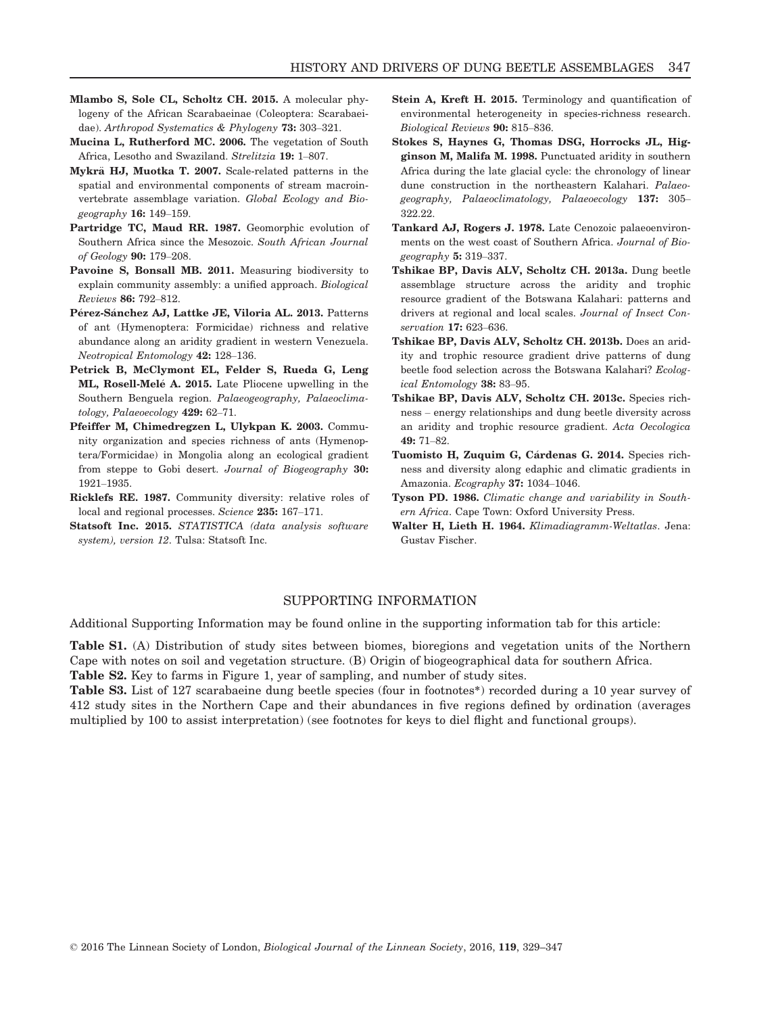- Mlambo S, Sole CL, Scholtz CH. 2015. A molecular phylogeny of the African Scarabaeinae (Coleoptera: Scarabaeidae). Arthropod Systematics & Phylogeny 73: 303–321.
- Mucina L, Rutherford MC. 2006. The vegetation of South Africa, Lesotho and Swaziland. Strelitzia 19: 1–807.
- Mykrä HJ, Muotka T. 2007. Scale-related patterns in the spatial and environmental components of stream macroinvertebrate assemblage variation. Global Ecology and Biogeography 16: 149–159.
- Partridge TC, Maud RR. 1987. Geomorphic evolution of Southern Africa since the Mesozoic. South African Journal of Geology 90: 179–208.
- Pavoine S, Bonsall MB. 2011. Measuring biodiversity to explain community assembly: a unified approach. Biological Reviews 86: 792–812.
- **Pérez-Sánchez AJ, Lattke JE, Viloria AL. 2013.** Patterns of ant (Hymenoptera: Formicidae) richness and relative abundance along an aridity gradient in western Venezuela. Neotropical Entomology 42: 128–136.
- Petrick B, McClymont EL, Felder S, Rueda G, Leng **ML, Rosell-Melé A. 2015.** Late Pliocene upwelling in the Southern Benguela region. Palaeogeography, Palaeoclimatology, Palaeoecology 429: 62–71.
- Pfeiffer M, Chimedregzen L, Ulykpan K. 2003. Community organization and species richness of ants (Hymenoptera/Formicidae) in Mongolia along an ecological gradient from steppe to Gobi desert. Journal of Biogeography 30: 1921–1935.
- Ricklefs RE. 1987. Community diversity: relative roles of local and regional processes. Science 235: 167–171.
- Statsoft Inc. 2015. STATISTICA (data analysis software system), version 12. Tulsa: Statsoft Inc.
- Stein A, Kreft H. 2015. Terminology and quantification of environmental heterogeneity in species-richness research. Biological Reviews 90: 815–836.
- Stokes S, Haynes G, Thomas DSG, Horrocks JL, Higginson M, Malifa M. 1998. Punctuated aridity in southern Africa during the late glacial cycle: the chronology of linear dune construction in the northeastern Kalahari. Palaeogeography, Palaeoclimatology, Palaeoecology 137: 305– 322.22.
- Tankard AJ, Rogers J. 1978. Late Cenozoic palaeoenvironments on the west coast of Southern Africa. Journal of Biogeography  $5: 319-337$ .
- Tshikae BP, Davis ALV, Scholtz CH. 2013a. Dung beetle assemblage structure across the aridity and trophic resource gradient of the Botswana Kalahari: patterns and drivers at regional and local scales. Journal of Insect Conservation 17: 623–636.
- Tshikae BP, Davis ALV, Scholtz CH. 2013b. Does an aridity and trophic resource gradient drive patterns of dung beetle food selection across the Botswana Kalahari? Ecological Entomology 38: 83–95.
- Tshikae BP, Davis ALV, Scholtz CH. 2013c. Species richness – energy relationships and dung beetle diversity across an aridity and trophic resource gradient. Acta Oecologica 49: 71–82.
- Tuomisto H, Zuquim G, Cárdenas G. 2014. Species richness and diversity along edaphic and climatic gradients in Amazonia. Ecography 37: 1034–1046.
- Tyson PD. 1986. Climatic change and variability in Southern Africa. Cape Town: Oxford University Press.
- Walter H, Lieth H. 1964. Klimadiagramm-Weltatlas. Jena: Gustav Fischer.

# SUPPORTING INFORMATION

Additional Supporting Information may be found online in the supporting information tab for this article:

Table S1. (A) Distribution of study sites between biomes, bioregions and vegetation units of the Northern Cape with notes on soil and vegetation structure. (B) Origin of biogeographical data for southern Africa. Table S2. Key to farms in Figure 1, year of sampling, and number of study sites.

Table S3. List of 127 scarabaeine dung beetle species (four in footnotes\*) recorded during a 10 year survey of 412 study sites in the Northern Cape and their abundances in five regions defined by ordination (averages multiplied by 100 to assist interpretation) (see footnotes for keys to diel flight and functional groups).